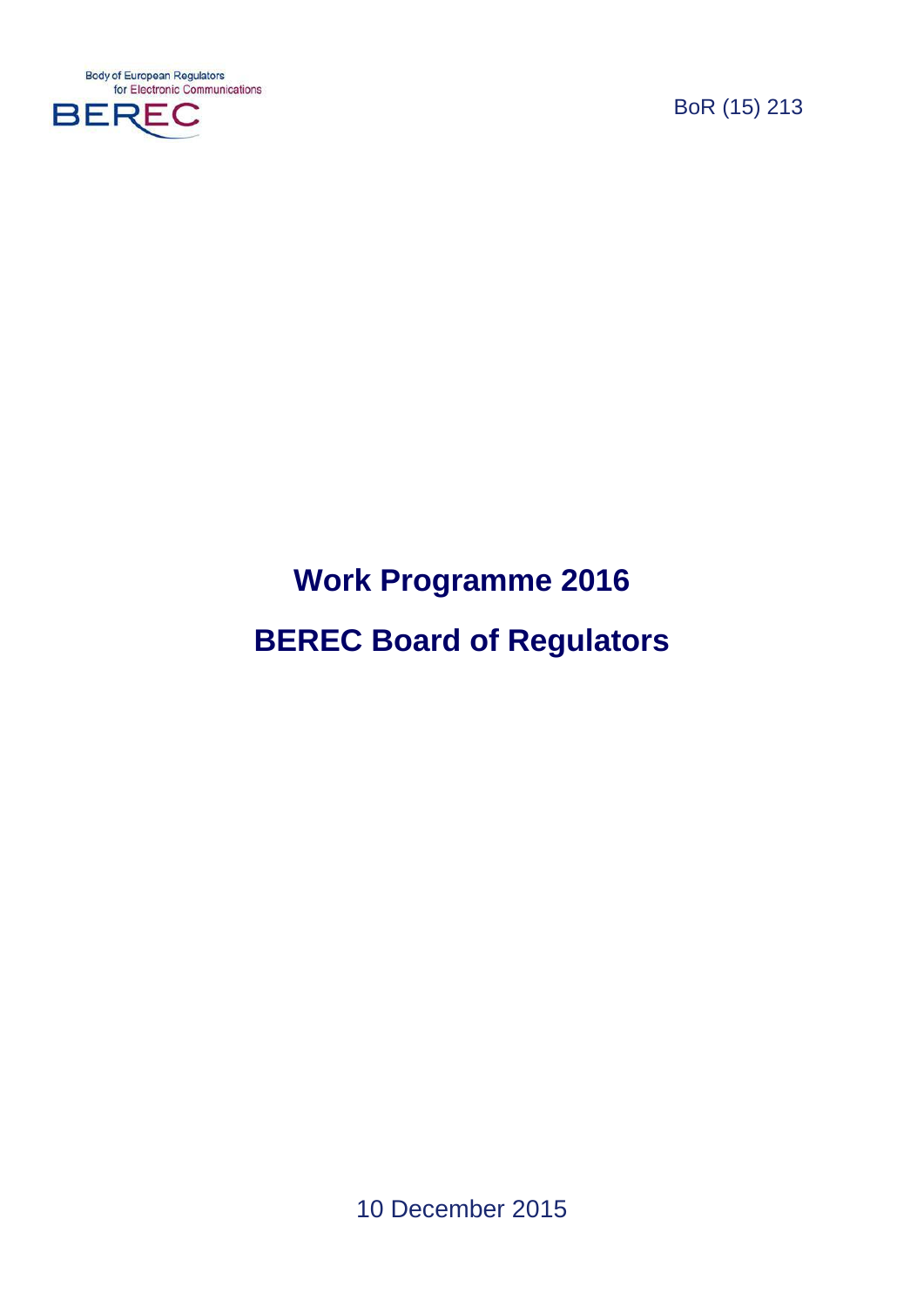**Body of European Regulators** for Electronic Communications



BoR (15) 213

# **Work Programme 2016 BEREC Board of Regulators**

10 December 2015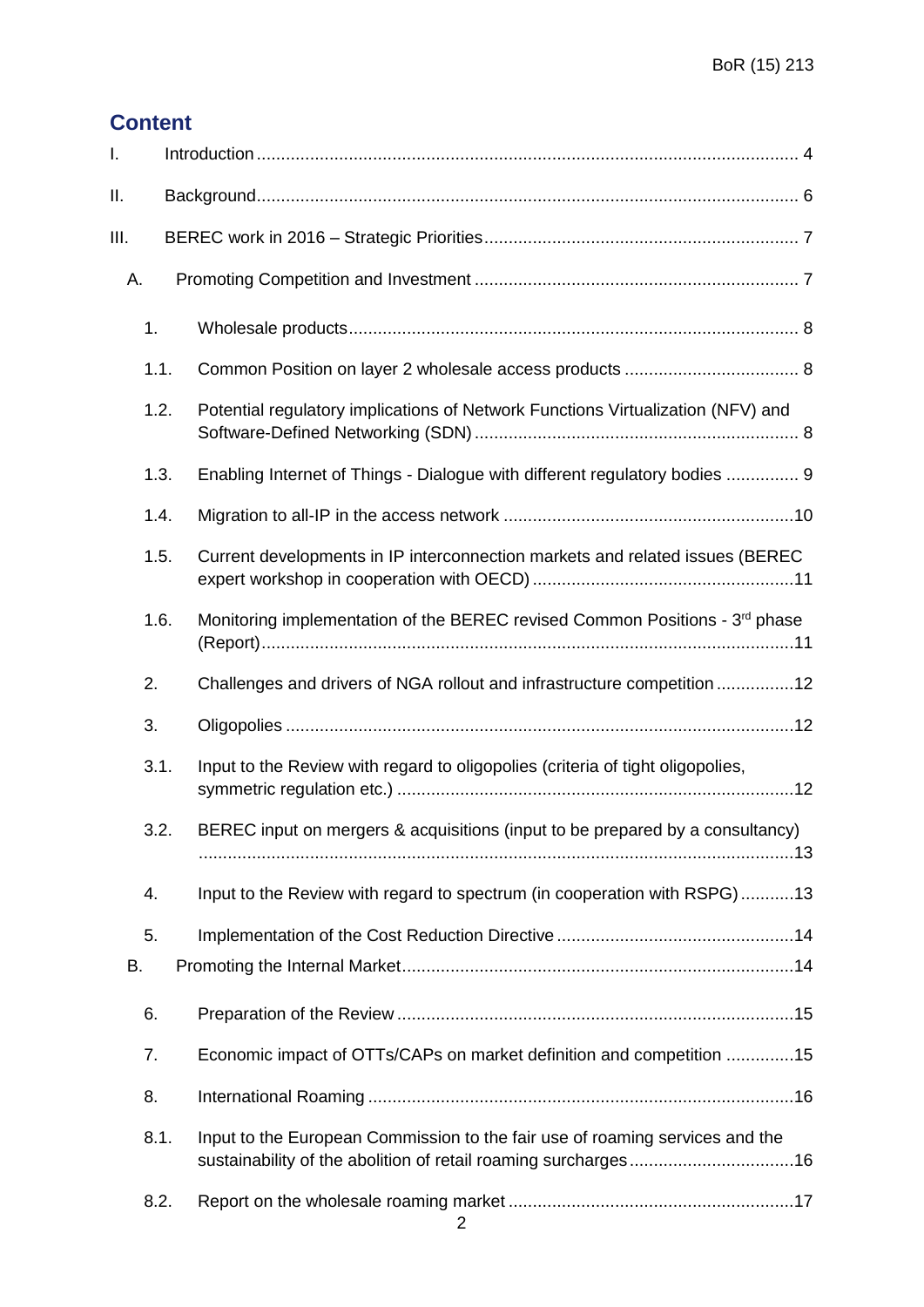# **Content**

| I.   |      |                                                                                 |
|------|------|---------------------------------------------------------------------------------|
| П.   |      |                                                                                 |
| III. |      |                                                                                 |
|      | А.   |                                                                                 |
|      | 1.   |                                                                                 |
|      | 1.1. |                                                                                 |
|      | 1.2. | Potential regulatory implications of Network Functions Virtualization (NFV) and |
|      | 1.3. | Enabling Internet of Things - Dialogue with different regulatory bodies  9      |
|      | 1.4. |                                                                                 |
|      | 1.5. | Current developments in IP interconnection markets and related issues (BEREC    |
|      | 1.6. | Monitoring implementation of the BEREC revised Common Positions - 3rd phase     |
|      | 2.   | Challenges and drivers of NGA rollout and infrastructure competition 12         |
|      | 3.   |                                                                                 |
|      | 3.1. | Input to the Review with regard to oligopolies (criteria of tight oligopolies,  |
|      | 3.2. | BEREC input on mergers & acquisitions (input to be prepared by a consultancy)   |
|      | 4.   | Input to the Review with regard to spectrum (in cooperation with RSPG)13        |
|      | 5.   |                                                                                 |
| В.   |      |                                                                                 |
|      | 6.   |                                                                                 |
|      | 7.   | Economic impact of OTTs/CAPs on market definition and competition 15            |
|      | 8.   |                                                                                 |
|      | 8.1. | Input to the European Commission to the fair use of roaming services and the    |
|      | 8.2. |                                                                                 |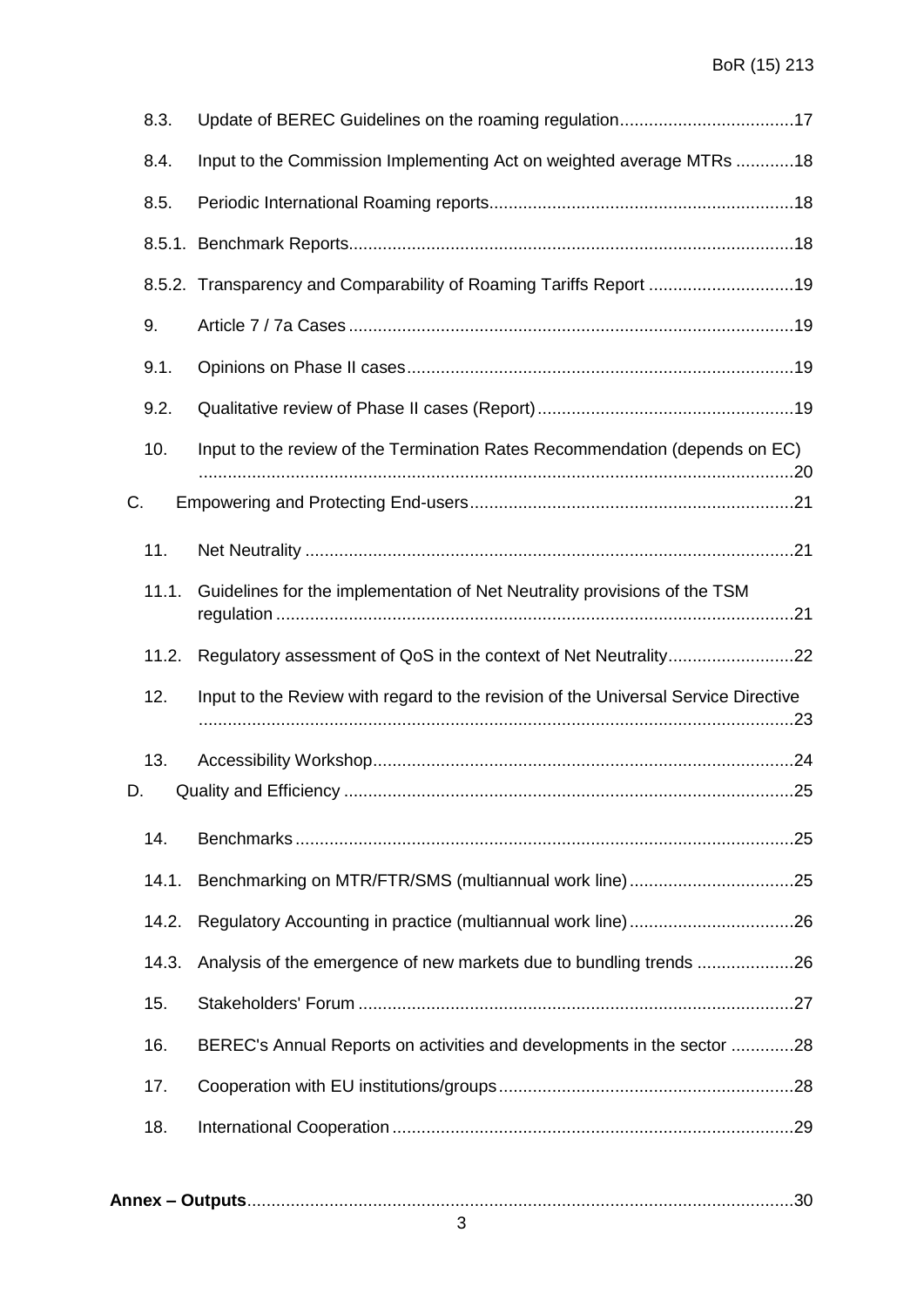|    | 8.3.  | Update of BEREC Guidelines on the roaming regulation17                             |  |
|----|-------|------------------------------------------------------------------------------------|--|
|    | 8.4.  | Input to the Commission Implementing Act on weighted average MTRs 18               |  |
|    | 8.5.  |                                                                                    |  |
|    |       |                                                                                    |  |
|    |       | 8.5.2. Transparency and Comparability of Roaming Tariffs Report 19                 |  |
|    | 9.    |                                                                                    |  |
|    | 9.1.  |                                                                                    |  |
|    | 9.2.  |                                                                                    |  |
|    | 10.   | Input to the review of the Termination Rates Recommendation (depends on EC)        |  |
| С. |       |                                                                                    |  |
|    | 11.   |                                                                                    |  |
|    | 11.1. | Guidelines for the implementation of Net Neutrality provisions of the TSM          |  |
|    |       |                                                                                    |  |
|    | 11.2. |                                                                                    |  |
|    | 12.   | Input to the Review with regard to the revision of the Universal Service Directive |  |
|    |       |                                                                                    |  |
| D. | 13.   |                                                                                    |  |
|    | 14.   |                                                                                    |  |
|    | 14.1. |                                                                                    |  |
|    | 14.2. |                                                                                    |  |
|    | 14.3. | Analysis of the emergence of new markets due to bundling trends 26                 |  |
|    | 15.   |                                                                                    |  |
|    | 16.   | BEREC's Annual Reports on activities and developments in the sector 28             |  |
|    | 17.   |                                                                                    |  |
|    | 18.   |                                                                                    |  |
|    |       |                                                                                    |  |
|    |       |                                                                                    |  |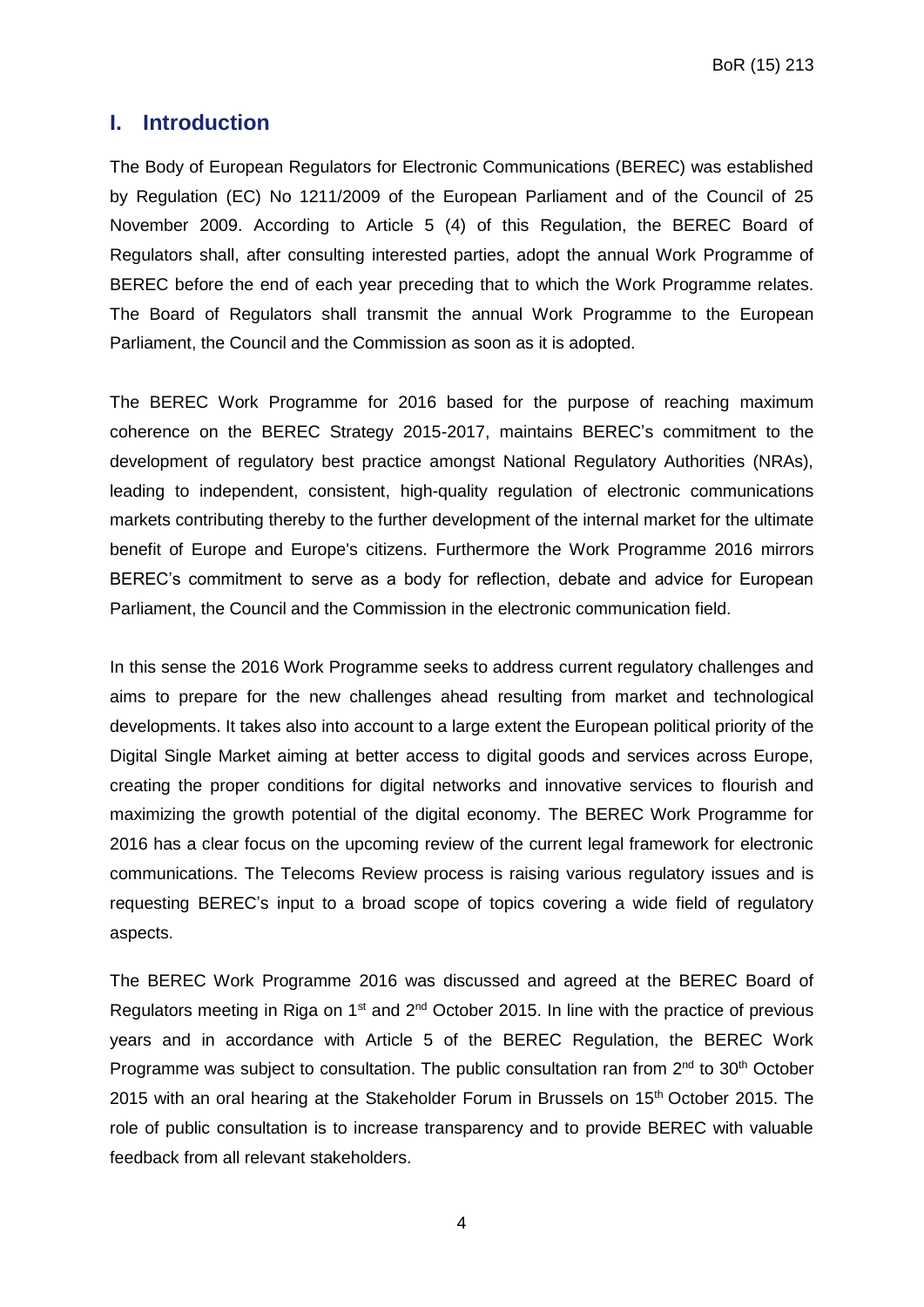## <span id="page-3-0"></span>**I. Introduction**

The Body of European Regulators for Electronic Communications (BEREC) was established by Regulation (EC) No 1211/2009 of the European Parliament and of the Council of 25 November 2009. According to Article 5 (4) of this Regulation, the BEREC Board of Regulators shall, after consulting interested parties, adopt the annual Work Programme of BEREC before the end of each year preceding that to which the Work Programme relates. The Board of Regulators shall transmit the annual Work Programme to the European Parliament, the Council and the Commission as soon as it is adopted.

The BEREC Work Programme for 2016 based for the purpose of reaching maximum coherence on the BEREC Strategy 2015-2017, maintains BEREC's commitment to the development of regulatory best practice amongst National Regulatory Authorities (NRAs), leading to independent, consistent, high-quality regulation of electronic communications markets contributing thereby to the further development of the internal market for the ultimate benefit of Europe and Europe's citizens. Furthermore the Work Programme 2016 mirrors BEREC's commitment to serve as a body for reflection, debate and advice for European Parliament, the Council and the Commission in the electronic communication field.

In this sense the 2016 Work Programme seeks to address current regulatory challenges and aims to prepare for the new challenges ahead resulting from market and technological developments. It takes also into account to a large extent the European political priority of the Digital Single Market aiming at better access to digital goods and services across Europe, creating the proper conditions for digital networks and innovative services to flourish and maximizing the growth potential of the digital economy. The BEREC Work Programme for 2016 has a clear focus on the upcoming review of the current legal framework for electronic communications. The Telecoms Review process is raising various regulatory issues and is requesting BEREC's input to a broad scope of topics covering a wide field of regulatory aspects.

The BEREC Work Programme 2016 was discussed and agreed at the BEREC Board of Regulators meeting in Riga on 1<sup>st</sup> and 2<sup>nd</sup> October 2015. In line with the practice of previous years and in accordance with Article 5 of the BEREC Regulation, the BEREC Work Programme was subject to consultation. The public consultation ran from 2<sup>nd</sup> to 30<sup>th</sup> October 2015 with an oral hearing at the Stakeholder Forum in Brussels on 15<sup>th</sup> October 2015. The role of public consultation is to increase transparency and to provide BEREC with valuable feedback from all relevant stakeholders.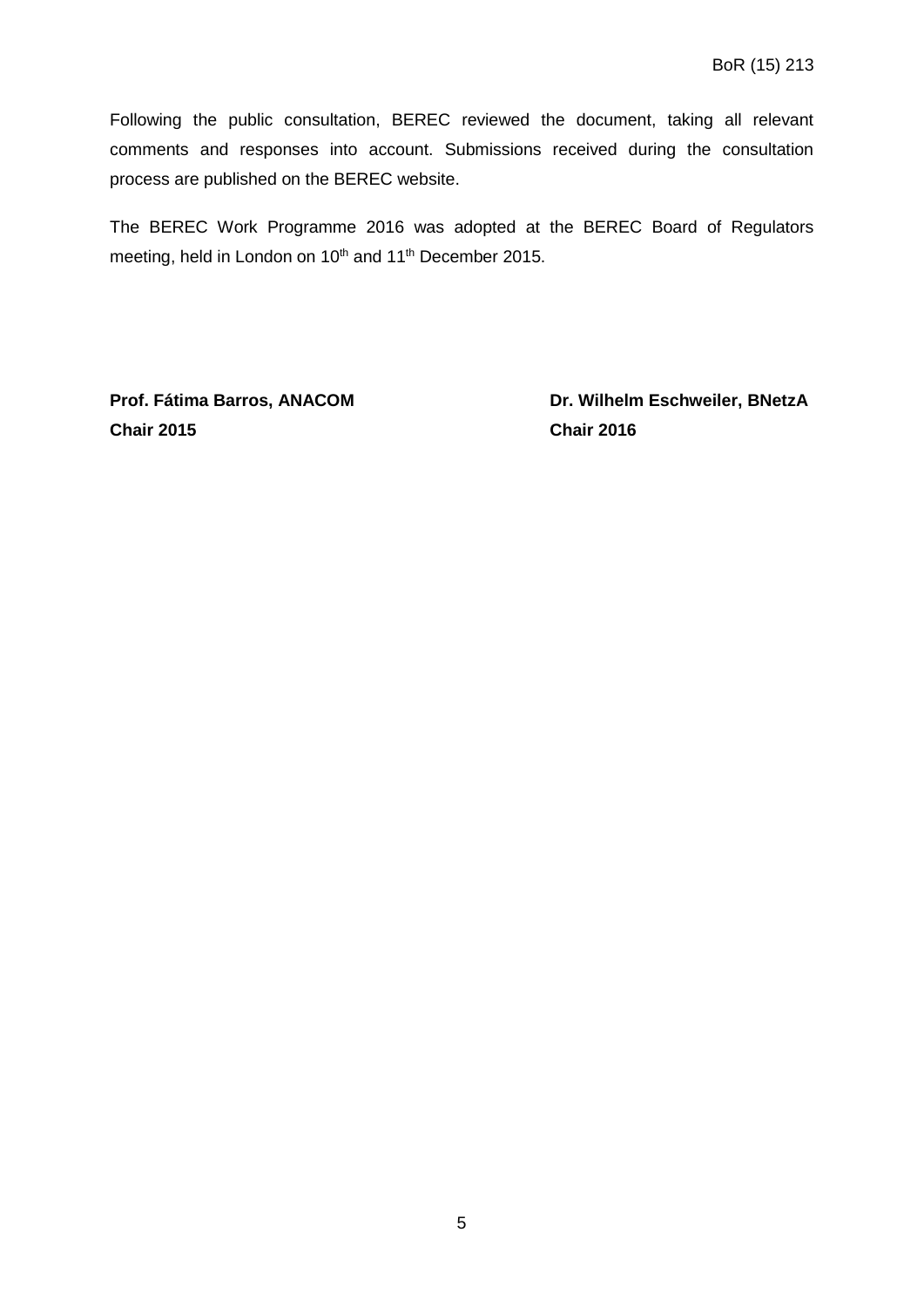Following the public consultation, BEREC reviewed the document, taking all relevant comments and responses into account. Submissions received during the consultation process are published on the BEREC website.

The BEREC Work Programme 2016 was adopted at the BEREC Board of Regulators meeting, held in London on 10<sup>th</sup> and 11<sup>th</sup> December 2015.

**Chair 2015 Chair 2016**

**Prof. Fátima Barros, ANACOM Dr. Wilhelm Eschweiler, BNetzA**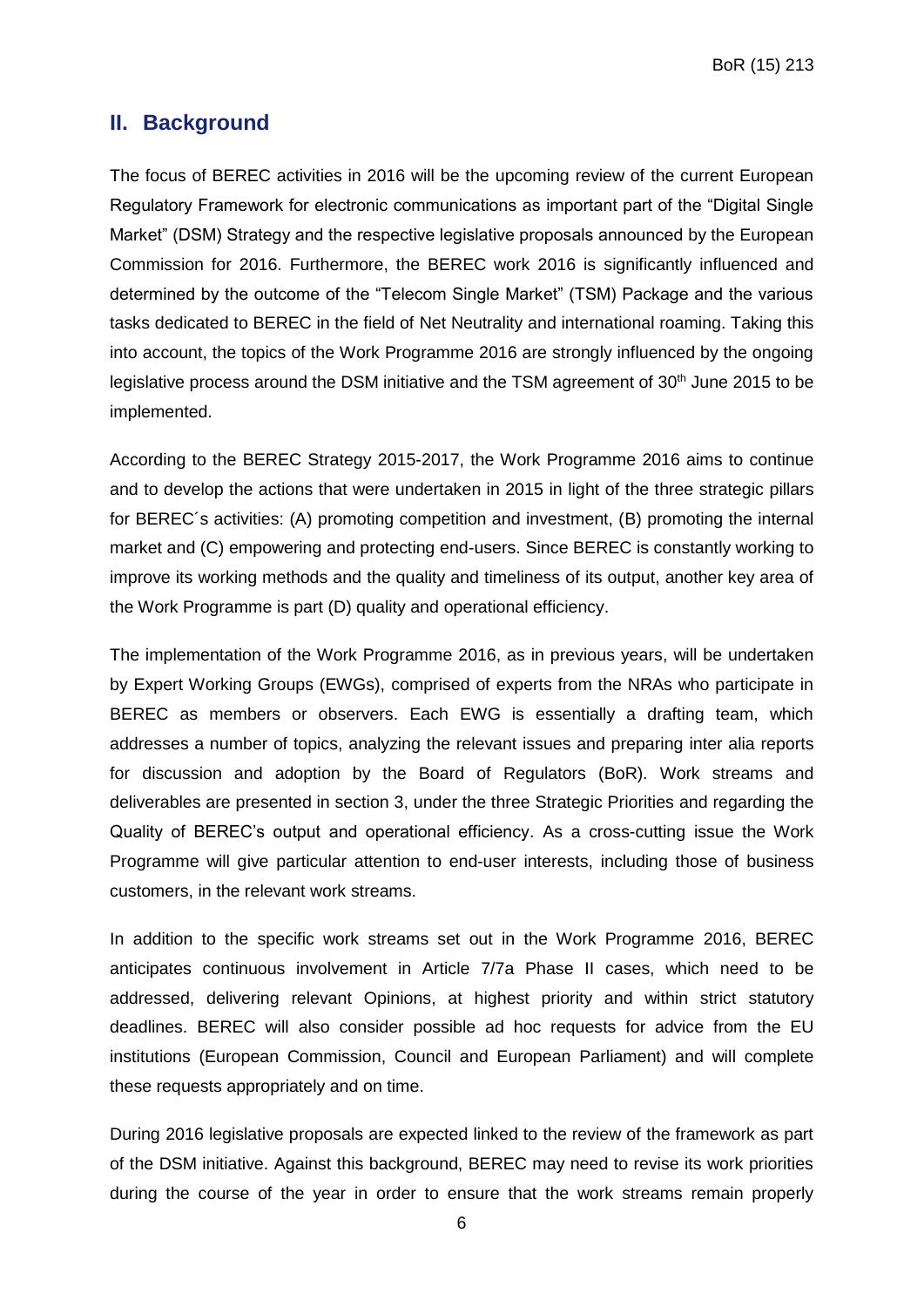## <span id="page-5-0"></span>**II. Background**

The focus of BEREC activities in 2016 will be the upcoming review of the current European Regulatory Framework for electronic communications as important part of the "Digital Single Market" (DSM) Strategy and the respective legislative proposals announced by the European Commission for 2016. Furthermore, the BEREC work 2016 is significantly influenced and determined by the outcome of the "Telecom Single Market" (TSM) Package and the various tasks dedicated to BEREC in the field of Net Neutrality and international roaming. Taking this into account, the topics of the Work Programme 2016 are strongly influenced by the ongoing legislative process around the DSM initiative and the TSM agreement of 30<sup>th</sup> June 2015 to be implemented.

According to the BEREC Strategy 2015-2017, the Work Programme 2016 aims to continue and to develop the actions that were undertaken in 2015 in light of the three strategic pillars for BEREC´s activities: (A) promoting competition and investment, (B) promoting the internal market and (C) empowering and protecting end-users. Since BEREC is constantly working to improve its working methods and the quality and timeliness of its output, another key area of the Work Programme is part (D) quality and operational efficiency.

The implementation of the Work Programme 2016, as in previous years, will be undertaken by Expert Working Groups (EWGs), comprised of experts from the NRAs who participate in BEREC as members or observers. Each EWG is essentially a drafting team, which addresses a number of topics, analyzing the relevant issues and preparing inter alia reports for discussion and adoption by the Board of Regulators (BoR). Work streams and deliverables are presented in section 3, under the three Strategic Priorities and regarding the Quality of BEREC's output and operational efficiency. As a cross-cutting issue the Work Programme will give particular attention to end-user interests, including those of business customers, in the relevant work streams.

In addition to the specific work streams set out in the Work Programme 2016, BEREC anticipates continuous involvement in Article 7/7a Phase II cases, which need to be addressed, delivering relevant Opinions, at highest priority and within strict statutory deadlines. BEREC will also consider possible ad hoc requests for advice from the EU institutions (European Commission, Council and European Parliament) and will complete these requests appropriately and on time.

During 2016 legislative proposals are expected linked to the review of the framework as part of the DSM initiative. Against this background, BEREC may need to revise its work priorities during the course of the year in order to ensure that the work streams remain properly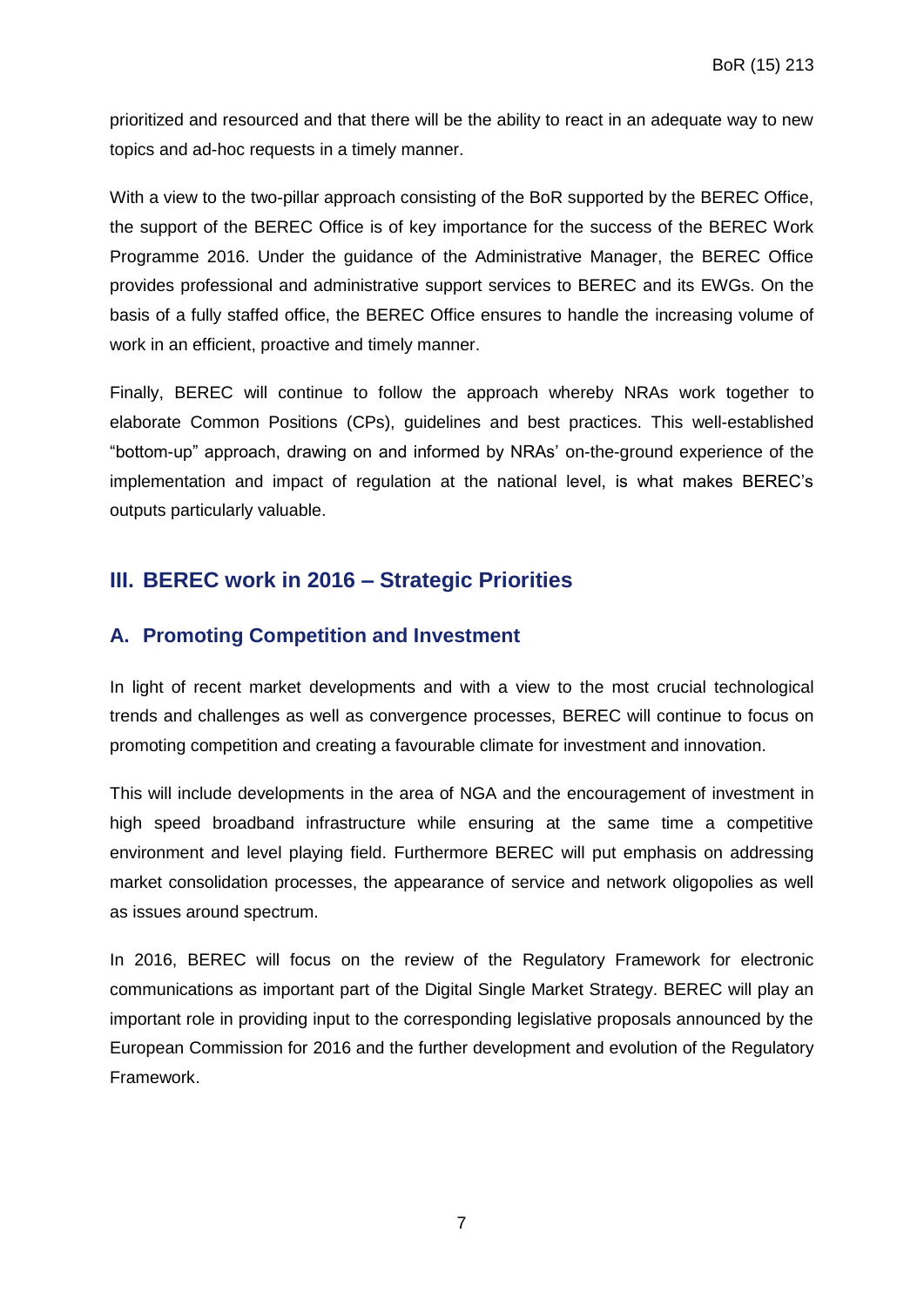prioritized and resourced and that there will be the ability to react in an adequate way to new topics and ad-hoc requests in a timely manner.

With a view to the two-pillar approach consisting of the BoR supported by the BEREC Office, the support of the BEREC Office is of key importance for the success of the BEREC Work Programme 2016. Under the guidance of the Administrative Manager, the BEREC Office provides professional and administrative support services to BEREC and its EWGs. On the basis of a fully staffed office, the BEREC Office ensures to handle the increasing volume of work in an efficient, proactive and timely manner.

Finally, BEREC will continue to follow the approach whereby NRAs work together to elaborate Common Positions (CPs), guidelines and best practices. This well-established "bottom-up" approach, drawing on and informed by NRAs' on-the-ground experience of the implementation and impact of regulation at the national level, is what makes BEREC's outputs particularly valuable.

# <span id="page-6-0"></span>**III. BEREC work in 2016 – Strategic Priorities**

## <span id="page-6-1"></span>**A. Promoting Competition and Investment**

In light of recent market developments and with a view to the most crucial technological trends and challenges as well as convergence processes, BEREC will continue to focus on promoting competition and creating a favourable climate for investment and innovation.

This will include developments in the area of NGA and the encouragement of investment in high speed broadband infrastructure while ensuring at the same time a competitive environment and level playing field. Furthermore BEREC will put emphasis on addressing market consolidation processes, the appearance of service and network oligopolies as well as issues around spectrum.

In 2016, BEREC will focus on the review of the Regulatory Framework for electronic communications as important part of the Digital Single Market Strategy. BEREC will play an important role in providing input to the corresponding legislative proposals announced by the European Commission for 2016 and the further development and evolution of the Regulatory Framework.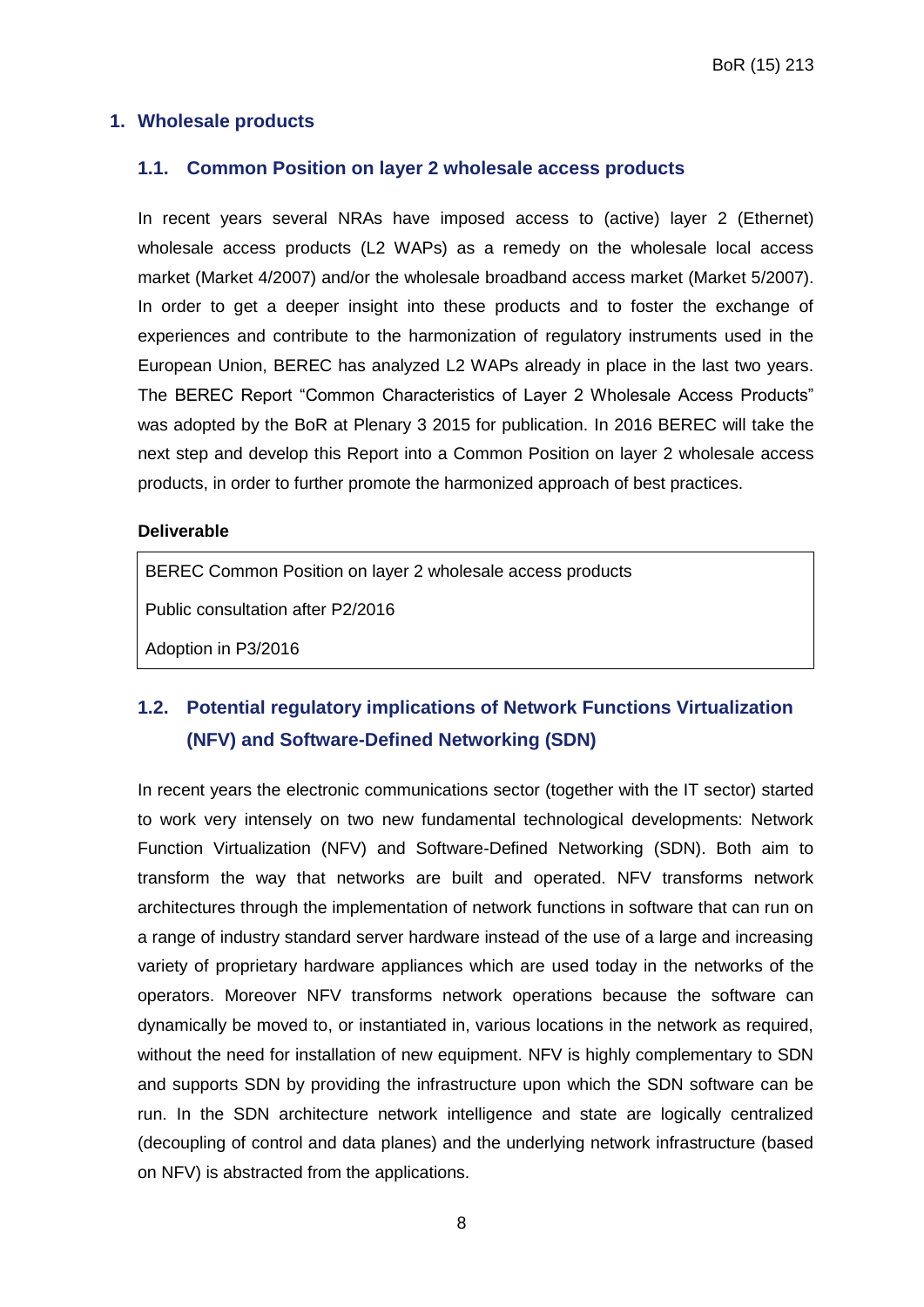#### <span id="page-7-1"></span><span id="page-7-0"></span>**1. Wholesale products**

#### **1.1. Common Position on layer 2 wholesale access products**

In recent years several NRAs have imposed access to (active) layer 2 (Ethernet) wholesale access products (L2 WAPs) as a remedy on the wholesale local access market (Market 4/2007) and/or the wholesale broadband access market (Market 5/2007). In order to get a deeper insight into these products and to foster the exchange of experiences and contribute to the harmonization of regulatory instruments used in the European Union, BEREC has analyzed L2 WAPs already in place in the last two years. The BEREC Report "Common Characteristics of Layer 2 Wholesale Access Products" was adopted by the BoR at Plenary 3 2015 for publication. In 2016 BEREC will take the next step and develop this Report into a Common Position on layer 2 wholesale access products, in order to further promote the harmonized approach of best practices.

#### **Deliverable**

BEREC Common Position on layer 2 wholesale access products

Public consultation after P2/2016

Adoption in P3/2016

# <span id="page-7-2"></span>**1.2. Potential regulatory implications of Network Functions Virtualization (NFV) and Software-Defined Networking (SDN)**

In recent years the electronic communications sector (together with the IT sector) started to work very intensely on two new fundamental technological developments: Network Function Virtualization (NFV) and Software-Defined Networking (SDN). Both aim to transform the way that networks are built and operated. NFV transforms network architectures through the implementation of network functions in software that can run on a range of industry standard server hardware instead of the use of a large and increasing variety of proprietary hardware appliances which are used today in the networks of the operators. Moreover NFV transforms network operations because the software can dynamically be moved to, or instantiated in, various locations in the network as required, without the need for installation of new equipment. NFV is highly complementary to SDN and supports SDN by providing the infrastructure upon which the SDN software can be run. In the SDN architecture network intelligence and state are logically centralized (decoupling of control and data planes) and the underlying network infrastructure (based on NFV) is abstracted from the applications.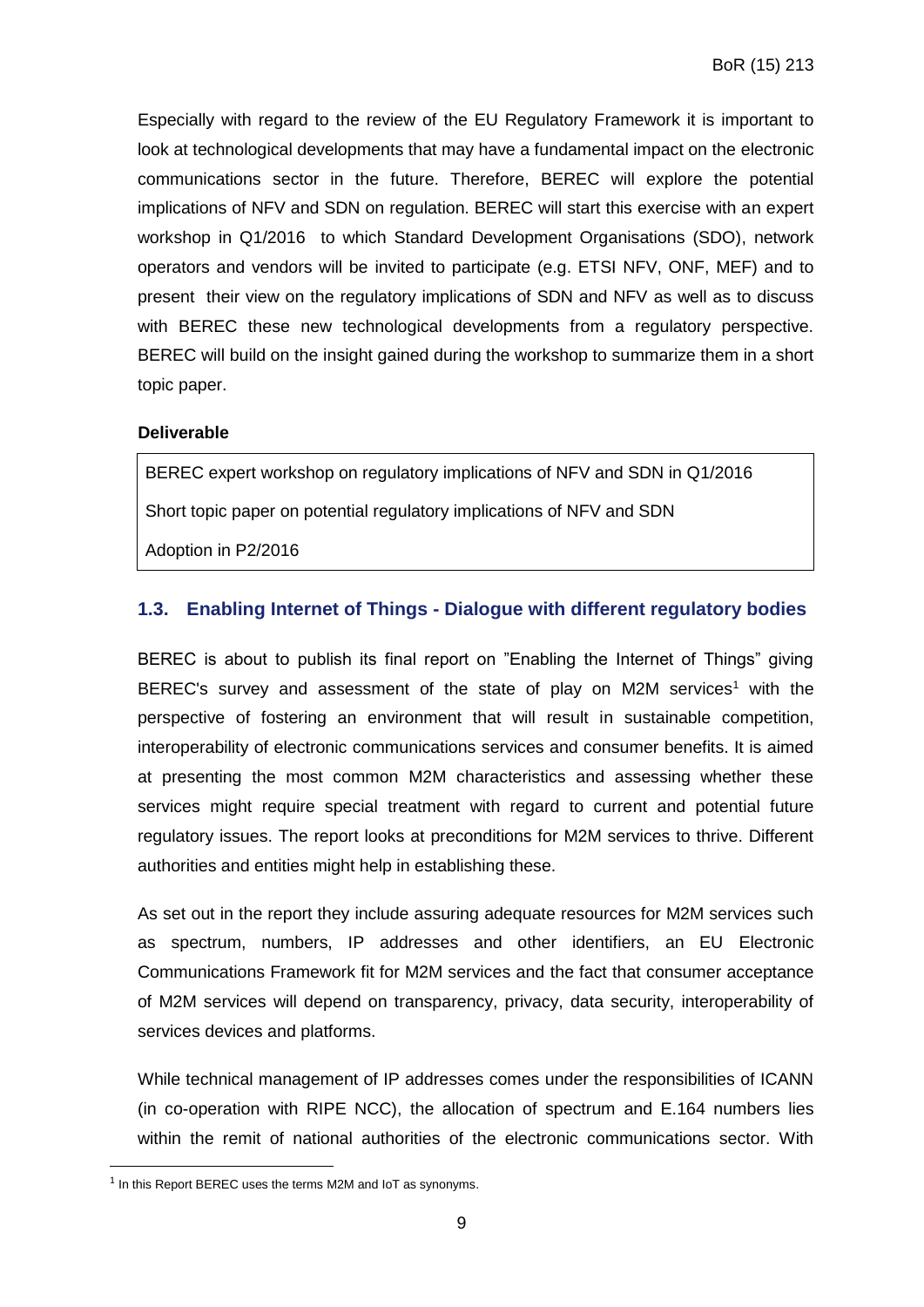Especially with regard to the review of the EU Regulatory Framework it is important to look at technological developments that may have a fundamental impact on the electronic communications sector in the future. Therefore, BEREC will explore the potential implications of NFV and SDN on regulation. BEREC will start this exercise with an expert workshop in Q1/2016 to which Standard Development Organisations (SDO), network operators and vendors will be invited to participate (e.g. ETSI NFV, ONF, MEF) and to present their view on the regulatory implications of SDN and NFV as well as to discuss with BEREC these new technological developments from a regulatory perspective. BEREC will build on the insight gained during the workshop to summarize them in a short topic paper.

#### **Deliverable**

BEREC expert workshop on regulatory implications of NFV and SDN in Q1/2016

Short topic paper on potential regulatory implications of NFV and SDN

Adoption in P2/2016

#### <span id="page-8-0"></span>**1.3. Enabling Internet of Things - Dialogue with different regulatory bodies**

BEREC is about to publish its final report on "Enabling the Internet of Things" giving BEREC's survey and assessment of the state of play on M2M services<sup>1</sup> with the perspective of fostering an environment that will result in sustainable competition, interoperability of electronic communications services and consumer benefits. It is aimed at presenting the most common M2M characteristics and assessing whether these services might require special treatment with regard to current and potential future regulatory issues. The report looks at preconditions for M2M services to thrive. Different authorities and entities might help in establishing these.

As set out in the report they include assuring adequate resources for M2M services such as spectrum, numbers, IP addresses and other identifiers, an EU Electronic Communications Framework fit for M2M services and the fact that consumer acceptance of M2M services will depend on transparency, privacy, data security, interoperability of services devices and platforms.

While technical management of IP addresses comes under the responsibilities of ICANN (in co-operation with RIPE NCC), the allocation of spectrum and E.164 numbers lies within the remit of national authorities of the electronic communications sector. With

1

 $1$  In this Report BEREC uses the terms M2M and IoT as synonyms.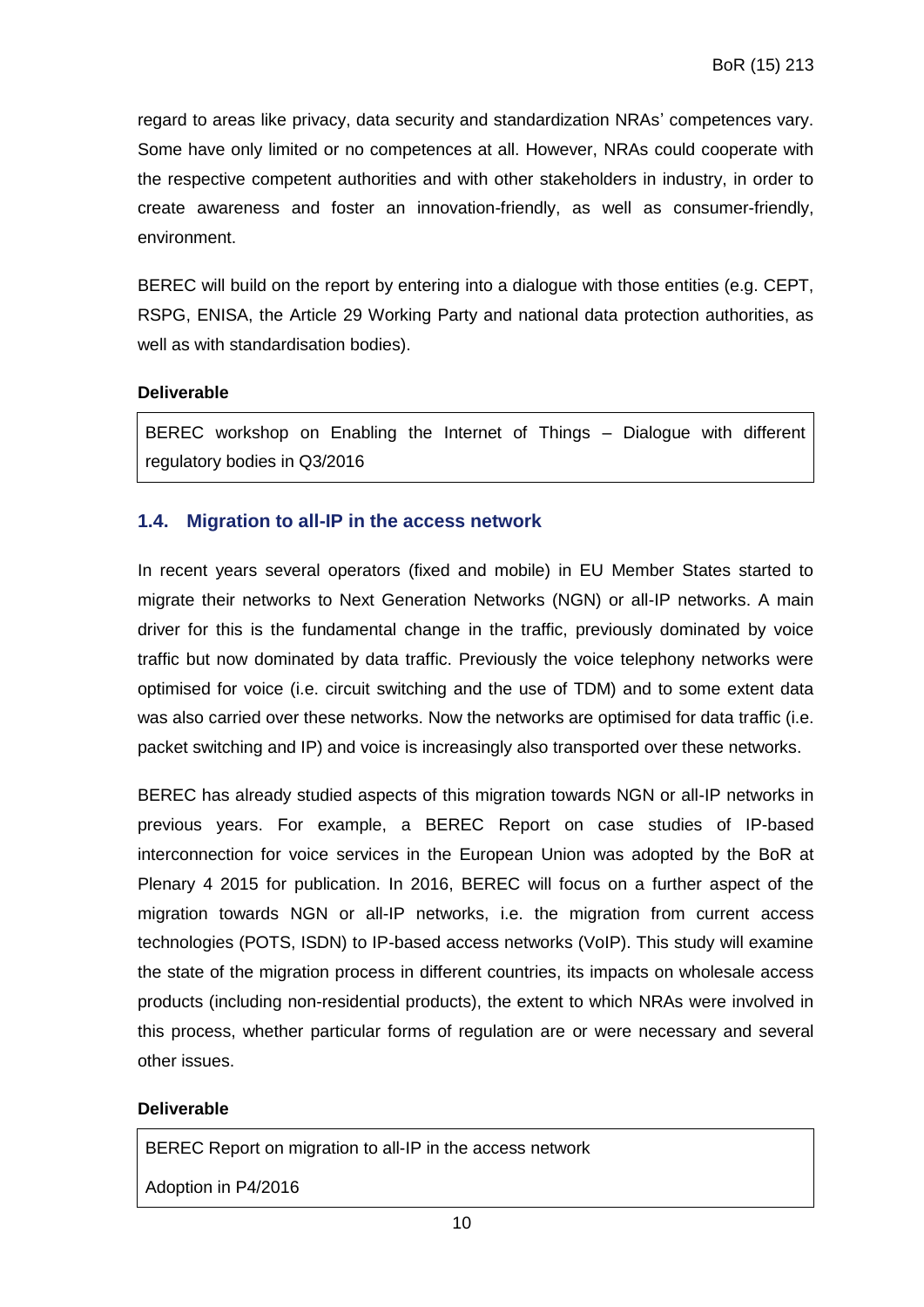regard to areas like privacy, data security and standardization NRAs' competences vary. Some have only limited or no competences at all. However, NRAs could cooperate with the respective competent authorities and with other stakeholders in industry, in order to create awareness and foster an innovation-friendly, as well as consumer-friendly, environment.

BEREC will build on the report by entering into a dialogue with those entities (e.g. CEPT, RSPG, ENISA, the Article 29 Working Party and national data protection authorities, as well as with standardisation bodies).

#### **Deliverable**

BEREC workshop on Enabling the Internet of Things – Dialogue with different regulatory bodies in Q3/2016

#### <span id="page-9-0"></span>**1.4. Migration to all-IP in the access network**

In recent years several operators (fixed and mobile) in EU Member States started to migrate their networks to Next Generation Networks (NGN) or all-IP networks. A main driver for this is the fundamental change in the traffic, previously dominated by voice traffic but now dominated by data traffic. Previously the voice telephony networks were optimised for voice (i.e. circuit switching and the use of TDM) and to some extent data was also carried over these networks. Now the networks are optimised for data traffic (i.e. packet switching and IP) and voice is increasingly also transported over these networks.

BEREC has already studied aspects of this migration towards NGN or all-IP networks in previous years. For example, a BEREC Report on case studies of IP-based interconnection for voice services in the European Union was adopted by the BoR at Plenary 4 2015 for publication. In 2016, BEREC will focus on a further aspect of the migration towards NGN or all-IP networks, i.e. the migration from current access technologies (POTS, ISDN) to IP-based access networks (VoIP). This study will examine the state of the migration process in different countries, its impacts on wholesale access products (including non-residential products), the extent to which NRAs were involved in this process, whether particular forms of regulation are or were necessary and several other issues.

#### **Deliverable**

BEREC Report on migration to all-IP in the access network

Adoption in P4/2016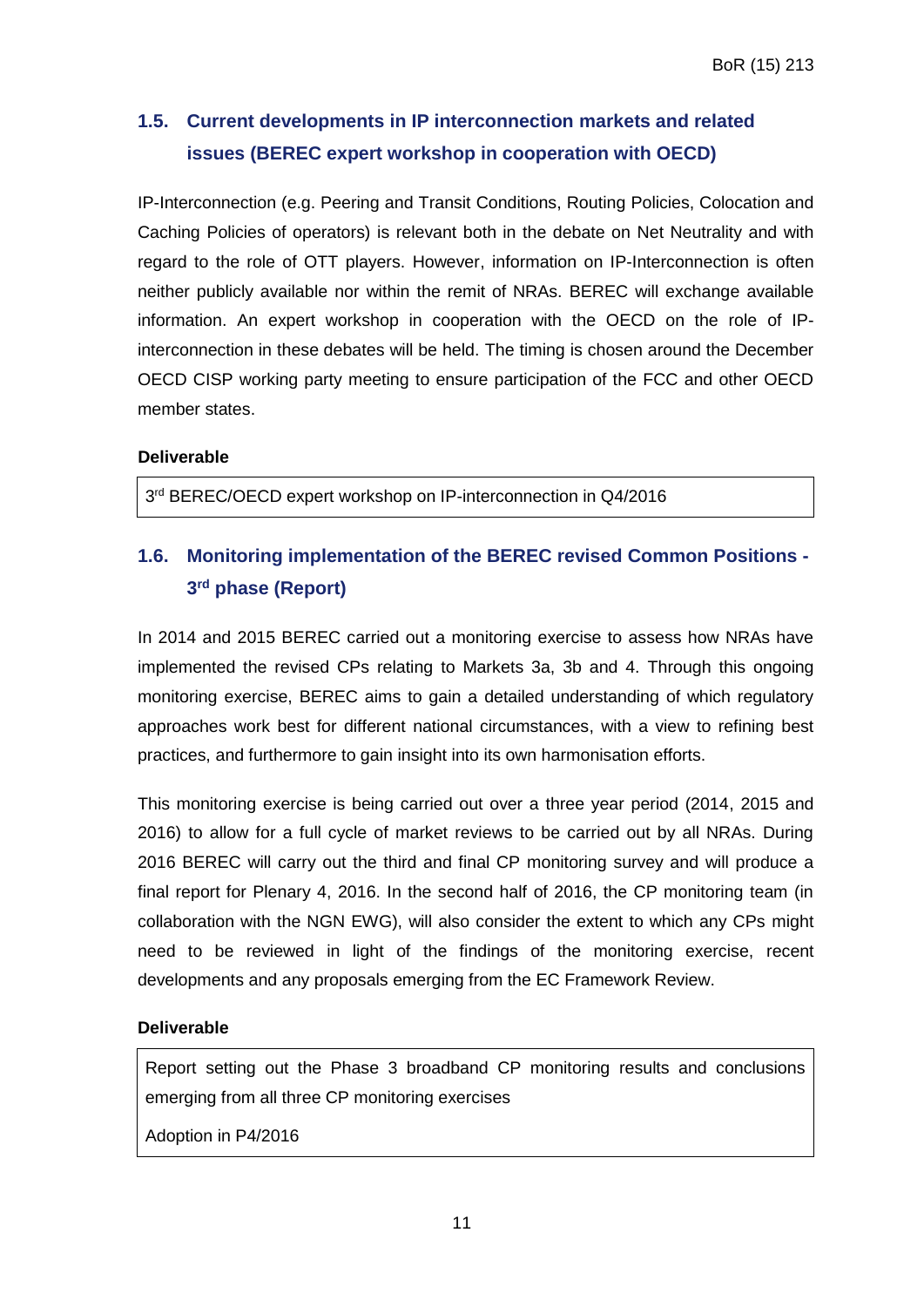# <span id="page-10-0"></span>**1.5. Current developments in IP interconnection markets and related issues (BEREC expert workshop in cooperation with OECD)**

IP-Interconnection (e.g. Peering and Transit Conditions, Routing Policies, Colocation and Caching Policies of operators) is relevant both in the debate on Net Neutrality and with regard to the role of OTT players. However, information on IP-Interconnection is often neither publicly available nor within the remit of NRAs. BEREC will exchange available information. An expert workshop in cooperation with the OECD on the role of IPinterconnection in these debates will be held. The timing is chosen around the December OECD CISP working party meeting to ensure participation of the FCC and other OECD member states.

#### **Deliverable**

3<sup>rd</sup> BEREC/OECD expert workshop on IP-interconnection in Q4/2016

# <span id="page-10-1"></span>**1.6. Monitoring implementation of the BEREC revised Common Positions - 3 rd phase (Report)**

In 2014 and 2015 BEREC carried out a monitoring exercise to assess how NRAs have implemented the revised CPs relating to Markets 3a, 3b and 4. Through this ongoing monitoring exercise, BEREC aims to gain a detailed understanding of which regulatory approaches work best for different national circumstances, with a view to refining best practices, and furthermore to gain insight into its own harmonisation efforts.

This monitoring exercise is being carried out over a three year period (2014, 2015 and 2016) to allow for a full cycle of market reviews to be carried out by all NRAs. During 2016 BEREC will carry out the third and final CP monitoring survey and will produce a final report for Plenary 4, 2016. In the second half of 2016, the CP monitoring team (in collaboration with the NGN EWG), will also consider the extent to which any CPs might need to be reviewed in light of the findings of the monitoring exercise, recent developments and any proposals emerging from the EC Framework Review.

#### **Deliverable**

Report setting out the Phase 3 broadband CP monitoring results and conclusions emerging from all three CP monitoring exercises

Adoption in P4/2016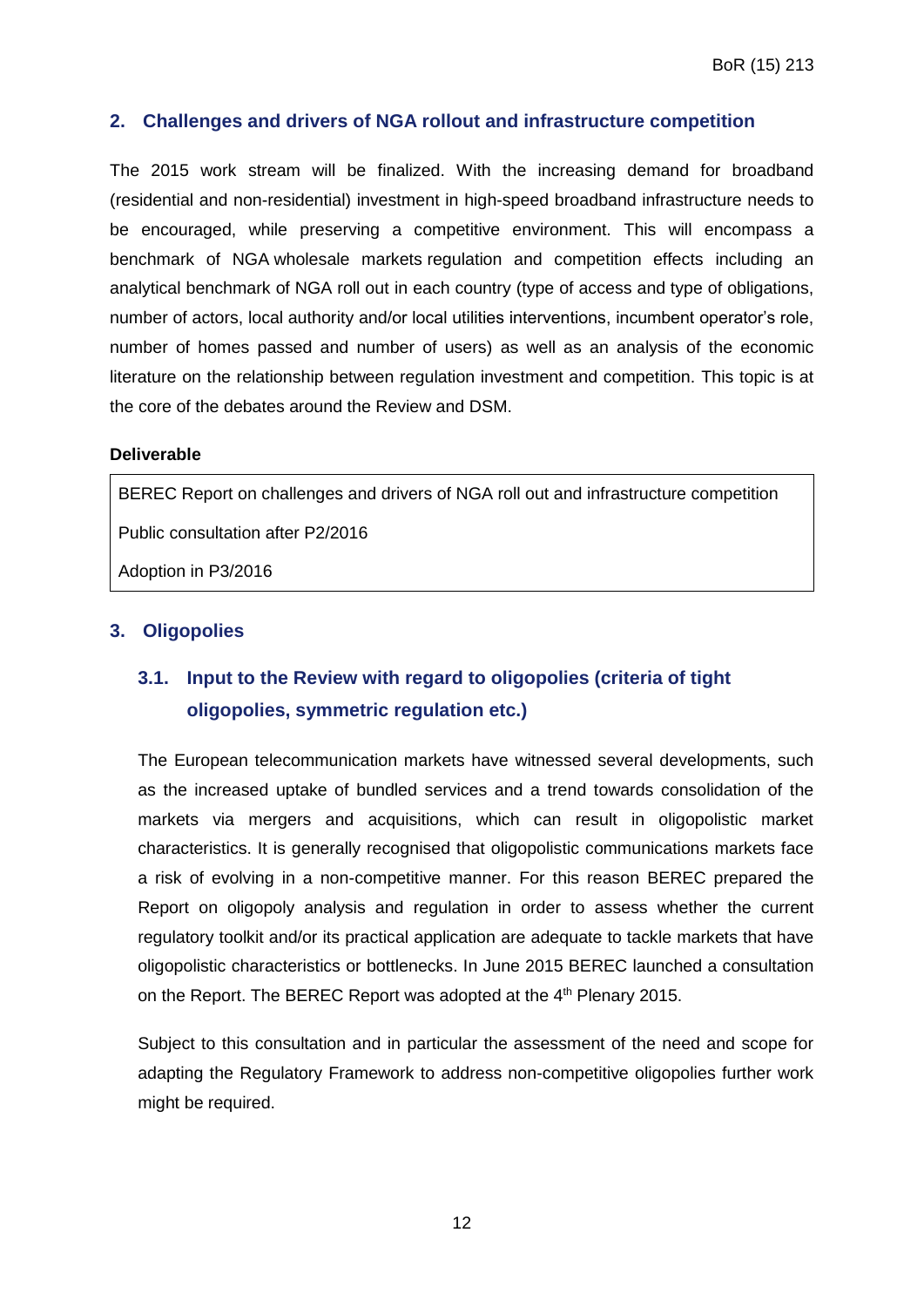#### <span id="page-11-0"></span>**2. Challenges and drivers of NGA rollout and infrastructure competition**

The 2015 work stream will be finalized. With the increasing demand for broadband (residential and non-residential) investment in high-speed broadband infrastructure needs to be encouraged, while preserving a competitive environment. This will encompass a benchmark of NGA wholesale markets regulation and competition effects including an analytical benchmark of NGA roll out in each country (type of access and type of obligations, number of actors, local authority and/or local utilities interventions, incumbent operator's role, number of homes passed and number of users) as well as an analysis of the economic literature on the relationship between regulation investment and competition. This topic is at the core of the debates around the Review and DSM.

#### **Deliverable**

BEREC Report on challenges and drivers of NGA roll out and infrastructure competition

Public consultation after P2/2016

Adoption in P3/2016

#### <span id="page-11-2"></span><span id="page-11-1"></span>**3. Oligopolies**

# **3.1. Input to the Review with regard to oligopolies (criteria of tight oligopolies, symmetric regulation etc.)**

The European telecommunication markets have witnessed several developments, such as the increased uptake of bundled services and a trend towards consolidation of the markets via mergers and acquisitions, which can result in oligopolistic market characteristics. It is generally recognised that oligopolistic communications markets face a risk of evolving in a non-competitive manner. For this reason BEREC prepared the Report on oligopoly analysis and regulation in order to assess whether the current regulatory toolkit and/or its practical application are adequate to tackle markets that have oligopolistic characteristics or bottlenecks. In June 2015 BEREC launched a consultation on the Report. The BEREC Report was adopted at the 4<sup>th</sup> Plenary 2015.

Subject to this consultation and in particular the assessment of the need and scope for adapting the Regulatory Framework to address non-competitive oligopolies further work might be required.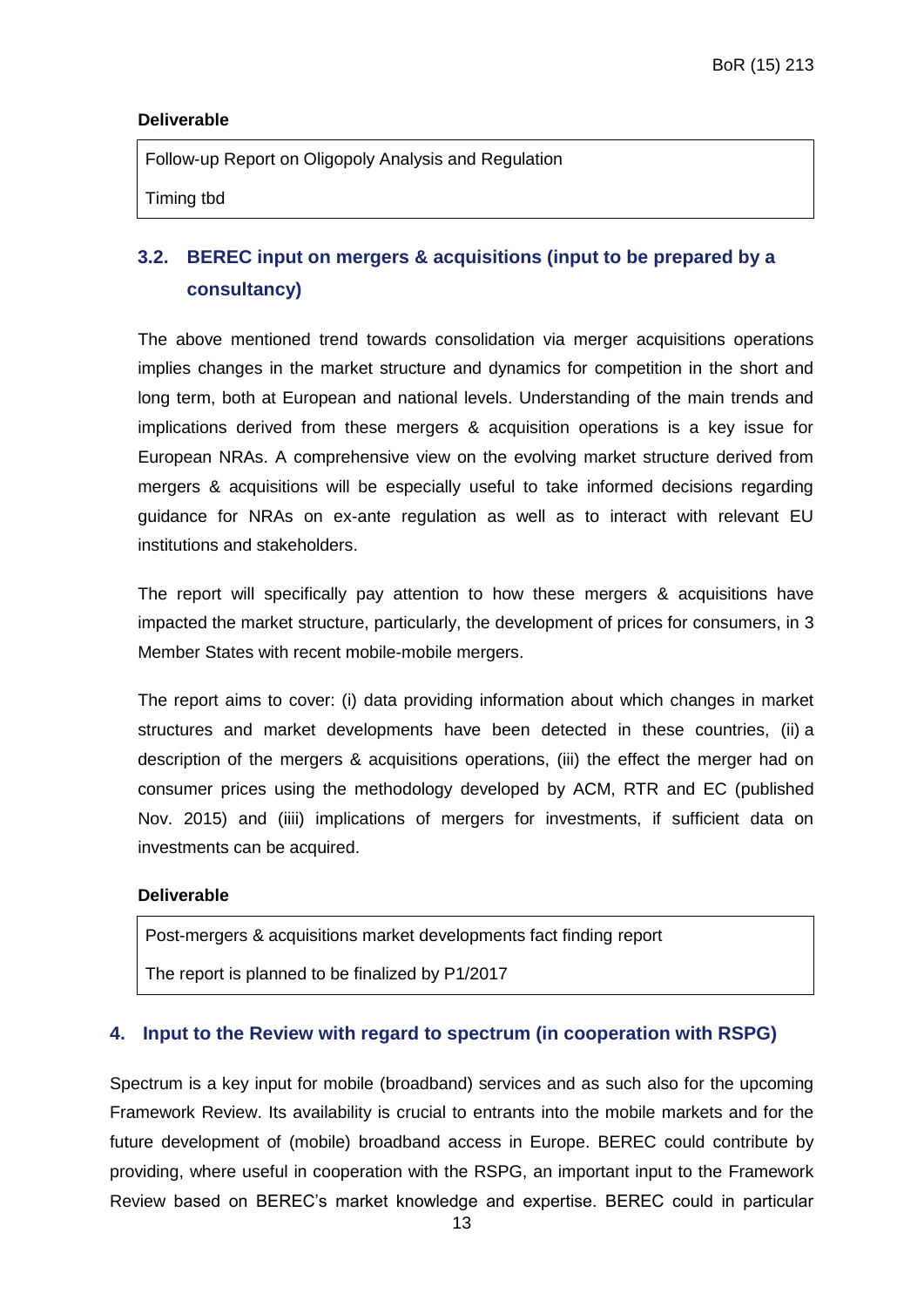#### **Deliverable**

Follow-up Report on Oligopoly Analysis and Regulation

Timing tbd

# <span id="page-12-0"></span>**3.2. BEREC input on mergers & acquisitions (input to be prepared by a consultancy)**

The above mentioned trend towards consolidation via merger acquisitions operations implies changes in the market structure and dynamics for competition in the short and long term, both at European and national levels. Understanding of the main trends and implications derived from these mergers & acquisition operations is a key issue for European NRAs. A comprehensive view on the evolving market structure derived from mergers & acquisitions will be especially useful to take informed decisions regarding guidance for NRAs on ex-ante regulation as well as to interact with relevant EU institutions and stakeholders.

The report will specifically pay attention to how these mergers & acquisitions have impacted the market structure, particularly, the development of prices for consumers, in 3 Member States with recent mobile-mobile mergers.

The report aims to cover: (i) data providing information about which changes in market structures and market developments have been detected in these countries, (ii) a description of the mergers & acquisitions operations, (iii) the effect the merger had on consumer prices using the methodology developed by ACM, RTR and EC (published Nov. 2015) and (iiii) implications of mergers for investments, if sufficient data on investments can be acquired.

#### **Deliverable**

Post-mergers & acquisitions market developments fact finding report

The report is planned to be finalized by P1/2017

#### <span id="page-12-1"></span>**4. Input to the Review with regard to spectrum (in cooperation with RSPG)**

Spectrum is a key input for mobile (broadband) services and as such also for the upcoming Framework Review. Its availability is crucial to entrants into the mobile markets and for the future development of (mobile) broadband access in Europe. BEREC could contribute by providing, where useful in cooperation with the RSPG, an important input to the Framework Review based on BEREC's market knowledge and expertise. BEREC could in particular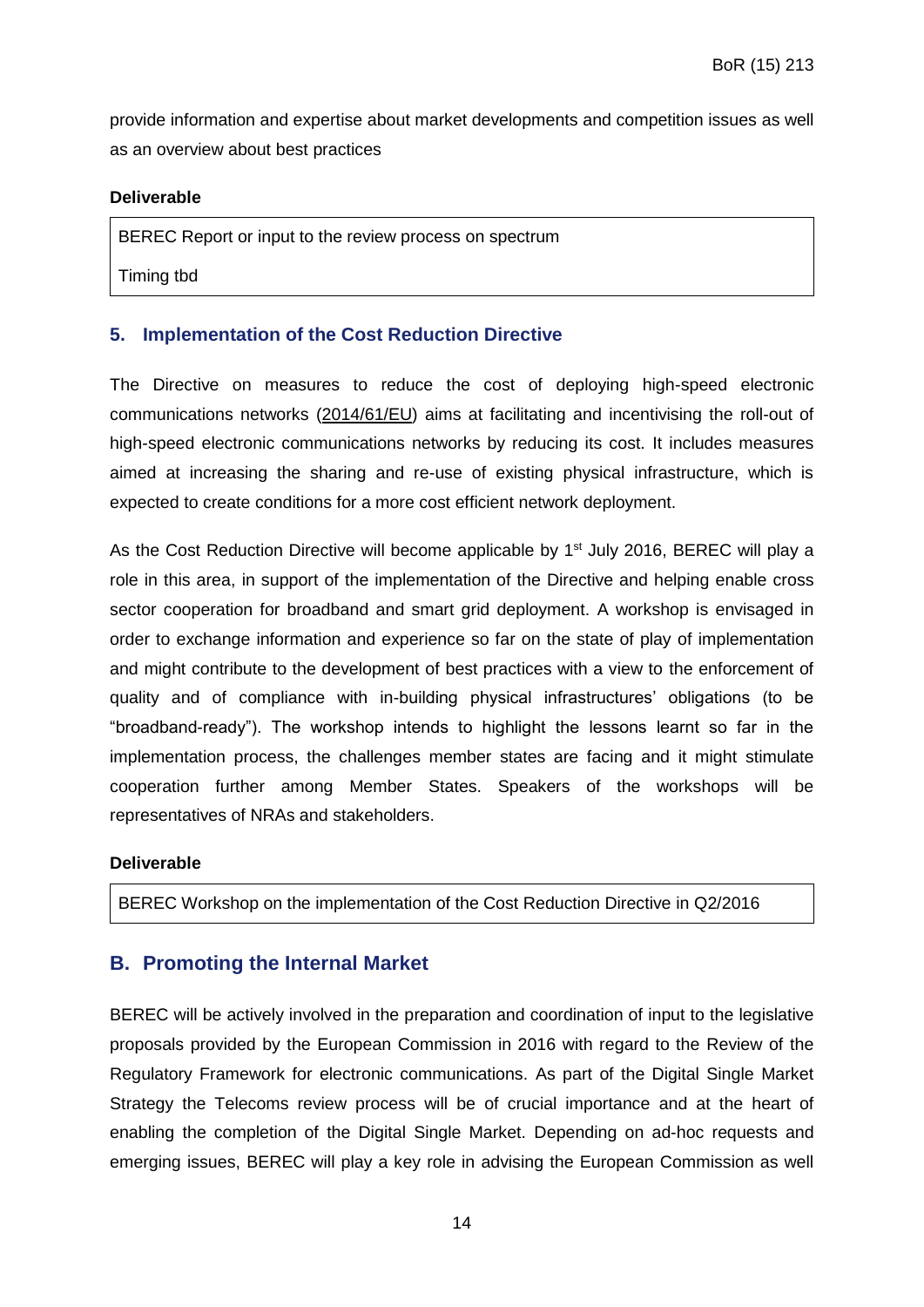provide information and expertise about market developments and competition issues as well as an overview about best practices

#### **Deliverable**

BEREC Report or input to the review process on spectrum

Timing tbd

#### <span id="page-13-0"></span>**5. Implementation of the Cost Reduction Directive**

The Directive on measures to reduce the cost of deploying high-speed electronic communications networks [\(2014/61/EU\)](https://ec.europa.eu/digital-agenda/news/directive-201461eu-european-parliament-and-council) aims at facilitating and incentivising the roll-out of high-speed electronic communications networks by reducing its cost. It includes measures aimed at increasing the sharing and re-use of existing physical infrastructure, which is expected to create conditions for a more cost efficient network deployment.

As the Cost Reduction Directive will become applicable by 1<sup>st</sup> July 2016, BEREC will play a role in this area, in support of the implementation of the Directive and helping enable cross sector cooperation for broadband and smart grid deployment. A workshop is envisaged in order to exchange information and experience so far on the state of play of implementation and might contribute to the development of best practices with a view to the enforcement of quality and of compliance with in-building physical infrastructures' obligations (to be "broadband-ready"). The workshop intends to highlight the lessons learnt so far in the implementation process, the challenges member states are facing and it might stimulate cooperation further among Member States. Speakers of the workshops will be representatives of NRAs and stakeholders.

#### **Deliverable**

BEREC Workshop on the implementation of the Cost Reduction Directive in Q2/2016

## <span id="page-13-1"></span>**B. Promoting the Internal Market**

BEREC will be actively involved in the preparation and coordination of input to the legislative proposals provided by the European Commission in 2016 with regard to the Review of the Regulatory Framework for electronic communications. As part of the Digital Single Market Strategy the Telecoms review process will be of crucial importance and at the heart of enabling the completion of the Digital Single Market. Depending on ad-hoc requests and emerging issues, BEREC will play a key role in advising the European Commission as well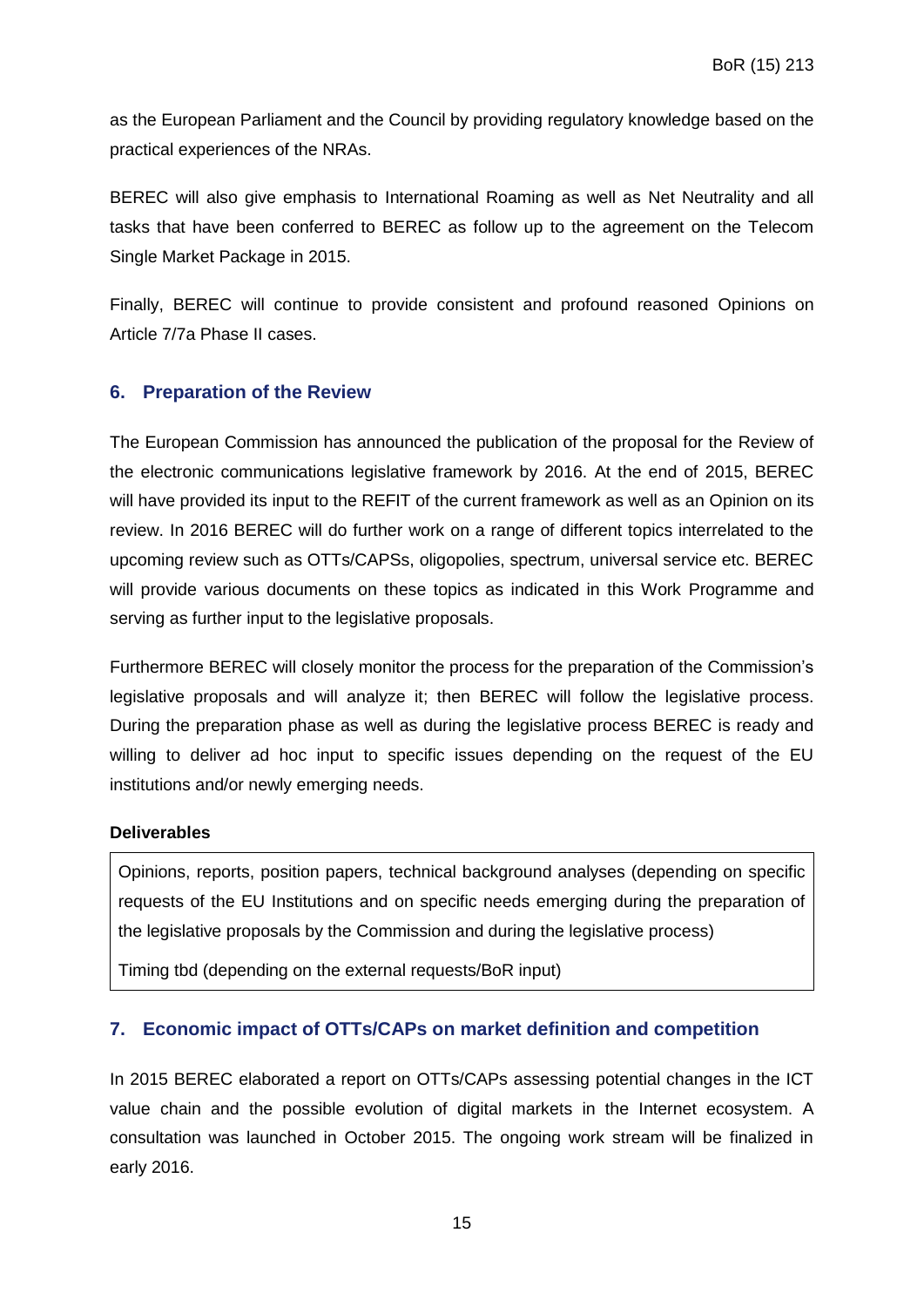as the European Parliament and the Council by providing regulatory knowledge based on the practical experiences of the NRAs.

BEREC will also give emphasis to International Roaming as well as Net Neutrality and all tasks that have been conferred to BEREC as follow up to the agreement on the Telecom Single Market Package in 2015.

Finally, BEREC will continue to provide consistent and profound reasoned Opinions on Article 7/7a Phase II cases.

#### <span id="page-14-0"></span>**6. Preparation of the Review**

The European Commission has announced the publication of the proposal for the Review of the electronic communications legislative framework by 2016. At the end of 2015, BEREC will have provided its input to the REFIT of the current framework as well as an Opinion on its review. In 2016 BEREC will do further work on a range of different topics interrelated to the upcoming review such as OTTs/CAPSs, oligopolies, spectrum, universal service etc. BEREC will provide various documents on these topics as indicated in this Work Programme and serving as further input to the legislative proposals.

Furthermore BEREC will closely monitor the process for the preparation of the Commission's legislative proposals and will analyze it; then BEREC will follow the legislative process. During the preparation phase as well as during the legislative process BEREC is ready and willing to deliver ad hoc input to specific issues depending on the request of the EU institutions and/or newly emerging needs.

#### **Deliverables**

Opinions, reports, position papers, technical background analyses (depending on specific requests of the EU Institutions and on specific needs emerging during the preparation of the legislative proposals by the Commission and during the legislative process)

Timing tbd (depending on the external requests/BoR input)

#### <span id="page-14-1"></span>**7. Economic impact of OTTs/CAPs on market definition and competition**

In 2015 BEREC elaborated a report on OTTs/CAPs assessing potential changes in the ICT value chain and the possible evolution of digital markets in the Internet ecosystem. A consultation was launched in October 2015. The ongoing work stream will be finalized in early 2016.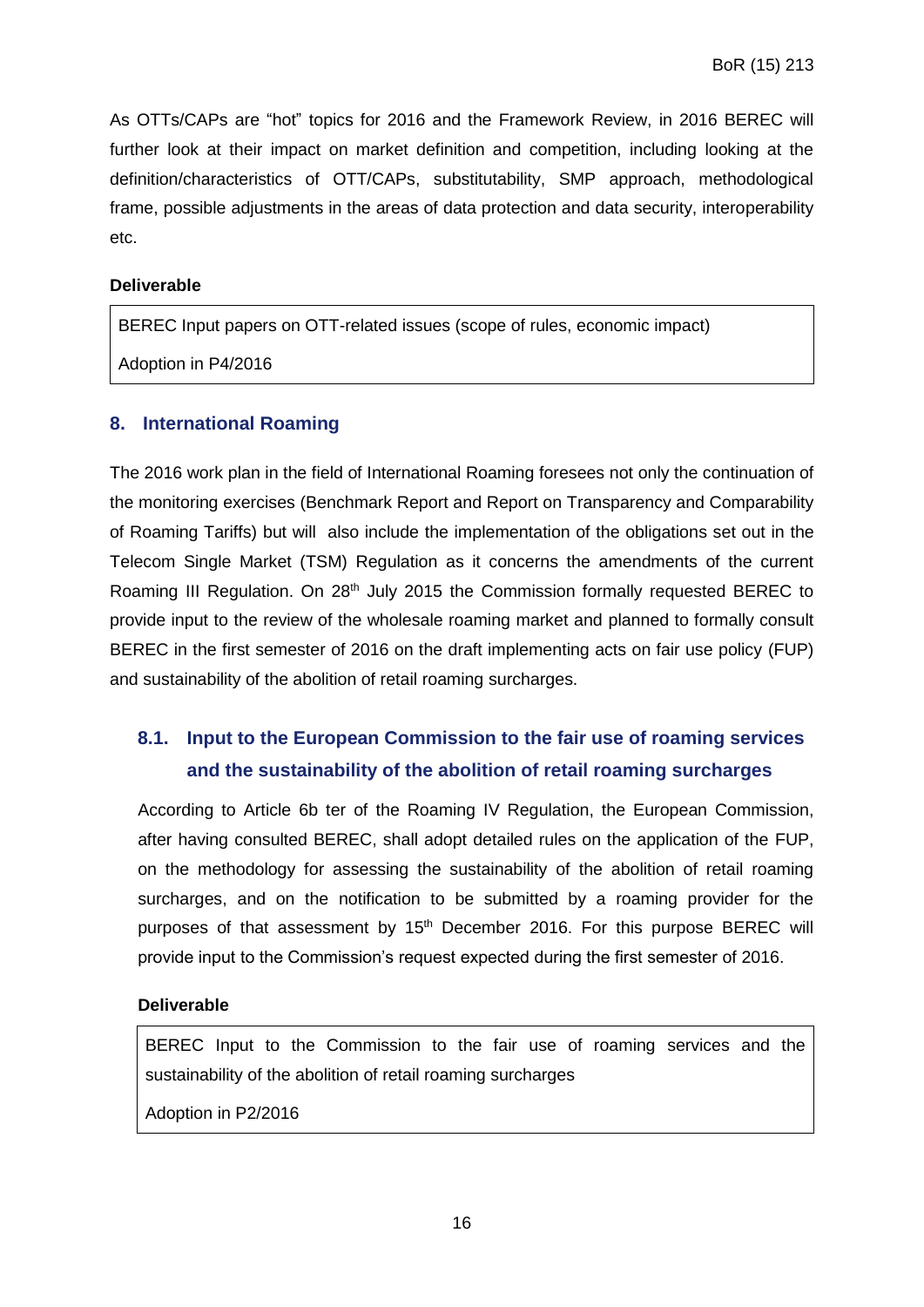As OTTs/CAPs are "hot" topics for 2016 and the Framework Review, in 2016 BEREC will further look at their impact on market definition and competition, including looking at the definition/characteristics of OTT/CAPs, substitutability, SMP approach, methodological frame, possible adjustments in the areas of data protection and data security, interoperability etc.

#### **Deliverable**

BEREC Input papers on OTT-related issues (scope of rules, economic impact)

Adoption in P4/2016

#### <span id="page-15-0"></span>**8. International Roaming**

The 2016 work plan in the field of International Roaming foresees not only the continuation of the monitoring exercises (Benchmark Report and Report on Transparency and Comparability of Roaming Tariffs) but will also include the implementation of the obligations set out in the Telecom Single Market (TSM) Regulation as it concerns the amendments of the current Roaming III Regulation. On 28<sup>th</sup> July 2015 the Commission formally requested BEREC to provide input to the review of the wholesale roaming market and planned to formally consult BEREC in the first semester of 2016 on the draft implementing acts on fair use policy (FUP) and sustainability of the abolition of retail roaming surcharges.

# <span id="page-15-1"></span>**8.1. Input to the European Commission to the fair use of roaming services and the sustainability of the abolition of retail roaming surcharges**

According to Article 6b ter of the Roaming IV Regulation, the European Commission, after having consulted BEREC, shall adopt detailed rules on the application of the FUP, on the methodology for assessing the sustainability of the abolition of retail roaming surcharges, and on the notification to be submitted by a roaming provider for the purposes of that assessment by  $15<sup>th</sup>$  December 2016. For this purpose BEREC will provide input to the Commission's request expected during the first semester of 2016.

#### **Deliverable**

BEREC Input to the Commission to the fair use of roaming services and the sustainability of the abolition of retail roaming surcharges

Adoption in P2/2016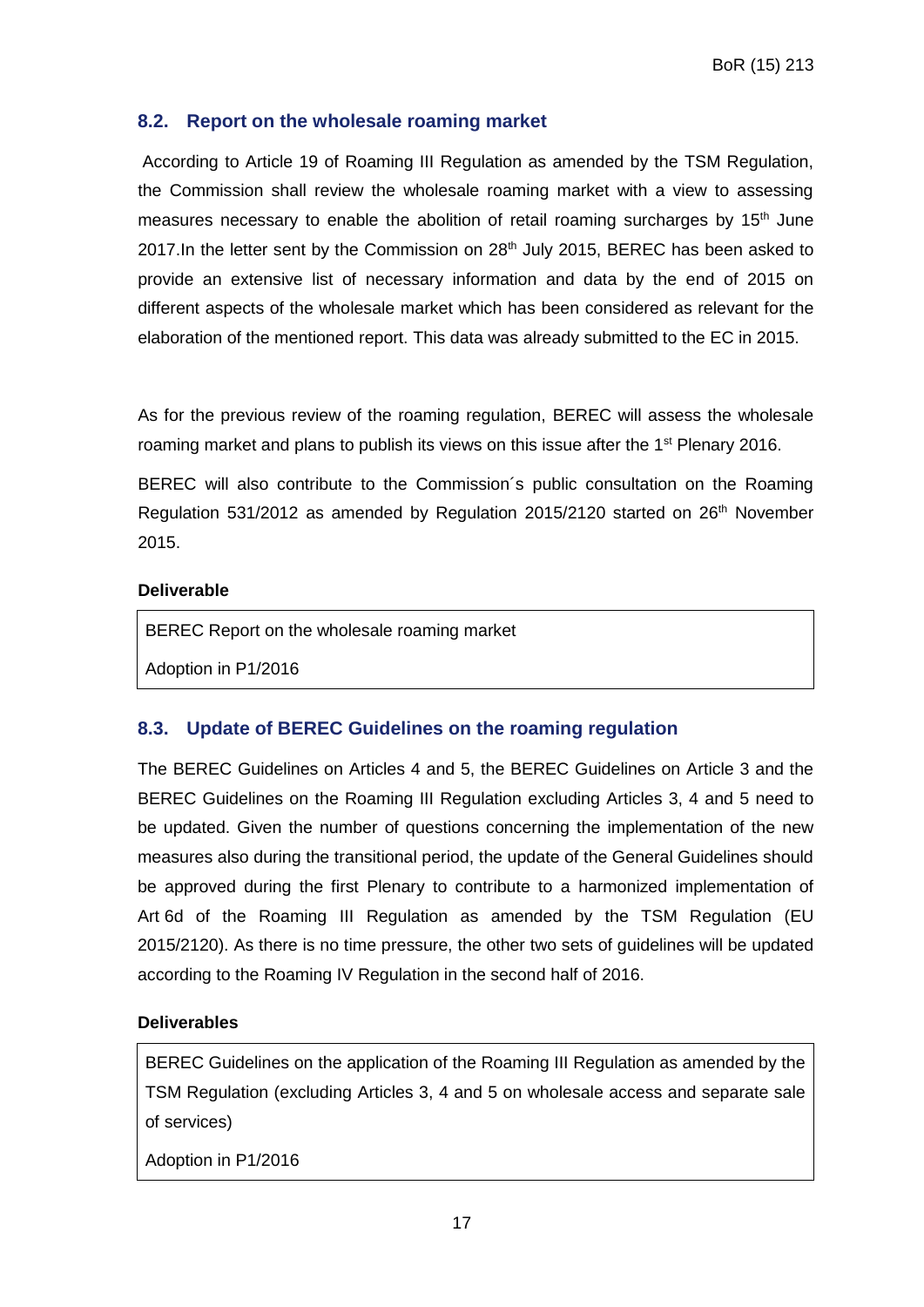#### <span id="page-16-0"></span>**8.2. Report on the wholesale roaming market**

According to Article 19 of Roaming III Regulation as amended by the TSM Regulation, the Commission shall review the wholesale roaming market with a view to assessing measures necessary to enable the abolition of retail roaming surcharges by 15<sup>th</sup> June 2017. In the letter sent by the Commission on 28<sup>th</sup> July 2015, BEREC has been asked to provide an extensive list of necessary information and data by the end of 2015 on different aspects of the wholesale market which has been considered as relevant for the elaboration of the mentioned report. This data was already submitted to the EC in 2015.

As for the previous review of the roaming regulation, BEREC will assess the wholesale roaming market and plans to publish its views on this issue after the 1<sup>st</sup> Plenary 2016.

BEREC will also contribute to the Commission´s public consultation on the Roaming Regulation 531/2012 as amended by Regulation 2015/2120 started on  $26<sup>th</sup>$  November 2015.

#### **Deliverable**

BEREC Report on the wholesale roaming market

Adoption in P1/2016

## <span id="page-16-1"></span>**8.3. Update of BEREC Guidelines on the roaming regulation**

The BEREC Guidelines on Articles 4 and 5, the BEREC Guidelines on Article 3 and the BEREC Guidelines on the Roaming III Regulation excluding Articles 3, 4 and 5 need to be updated. Given the number of questions concerning the implementation of the new measures also during the transitional period, the update of the General Guidelines should be approved during the first Plenary to contribute to a harmonized implementation of Art 6d of the Roaming III Regulation as amended by the TSM Regulation (EU 2015/2120). As there is no time pressure, the other two sets of guidelines will be updated according to the Roaming IV Regulation in the second half of 2016.

#### **Deliverables**

BEREC Guidelines on the application of the Roaming III Regulation as amended by the TSM Regulation (excluding Articles 3, 4 and 5 on wholesale access and separate sale of services)

Adoption in P1/2016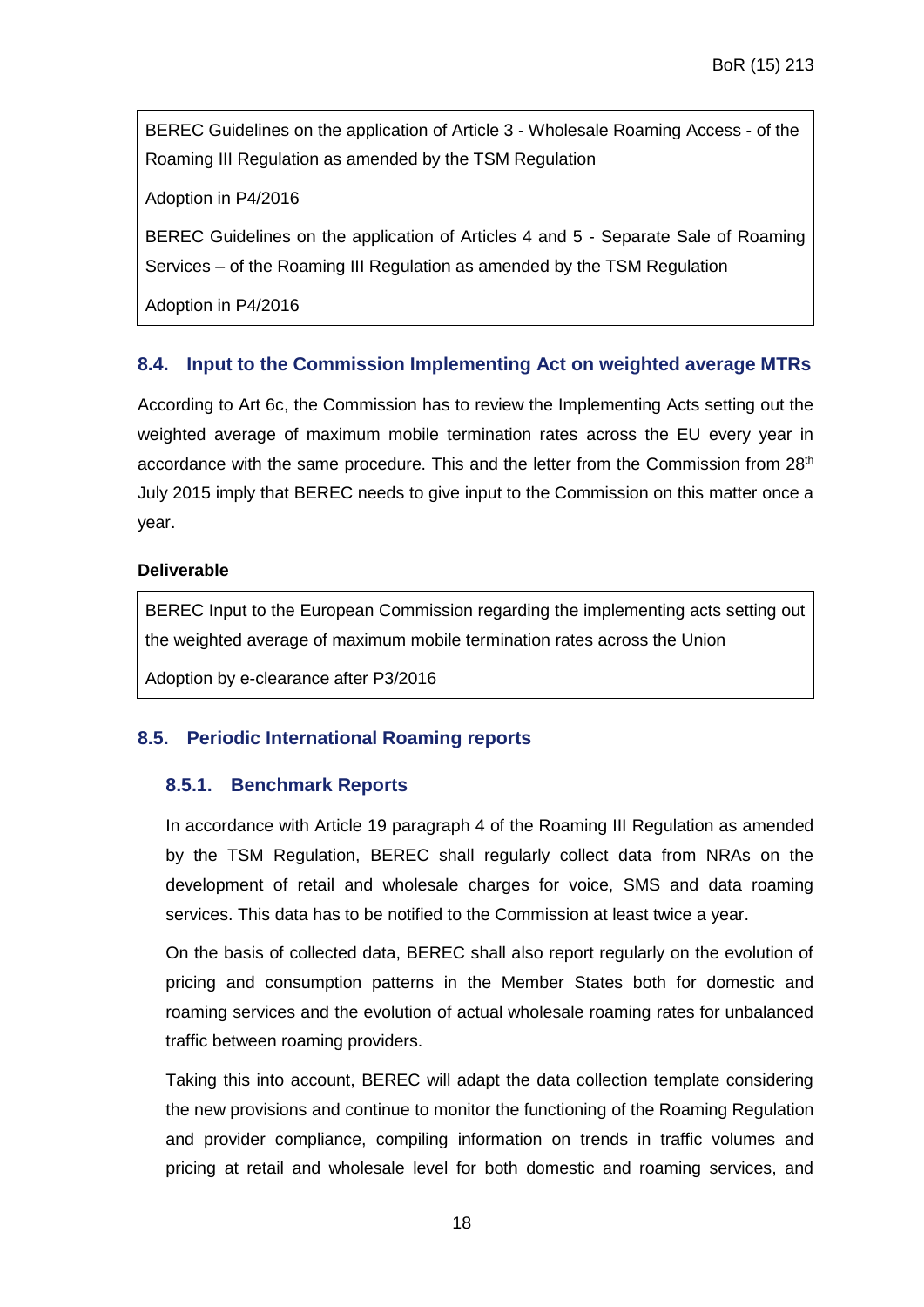BEREC Guidelines on the application of Article 3 - Wholesale Roaming Access - of the Roaming III Regulation as amended by the TSM Regulation

Adoption in P4/2016

BEREC Guidelines on the application of Articles 4 and 5 - Separate Sale of Roaming Services – of the Roaming III Regulation as amended by the TSM Regulation

Adoption in P4/2016

## <span id="page-17-0"></span>**8.4. Input to the Commission Implementing Act on weighted average MTRs**

According to Art 6c, the Commission has to review the Implementing Acts setting out the weighted average of maximum mobile termination rates across the EU every year in accordance with the same procedure. This and the letter from the Commission from  $28<sup>th</sup>$ July 2015 imply that BEREC needs to give input to the Commission on this matter once a year.

#### **Deliverable**

BEREC Input to the European Commission regarding the implementing acts setting out the weighted average of maximum mobile termination rates across the Union

Adoption by e-clearance after P3/2016

## <span id="page-17-2"></span><span id="page-17-1"></span>**8.5. Periodic International Roaming reports**

#### **8.5.1. Benchmark Reports**

In accordance with Article 19 paragraph 4 of the Roaming III Regulation as amended by the TSM Regulation, BEREC shall regularly collect data from NRAs on the development of retail and wholesale charges for voice, SMS and data roaming services. This data has to be notified to the Commission at least twice a year.

On the basis of collected data, BEREC shall also report regularly on the evolution of pricing and consumption patterns in the Member States both for domestic and roaming services and the evolution of actual wholesale roaming rates for unbalanced traffic between roaming providers.

Taking this into account, BEREC will adapt the data collection template considering the new provisions and continue to monitor the functioning of the Roaming Regulation and provider compliance, compiling information on trends in traffic volumes and pricing at retail and wholesale level for both domestic and roaming services, and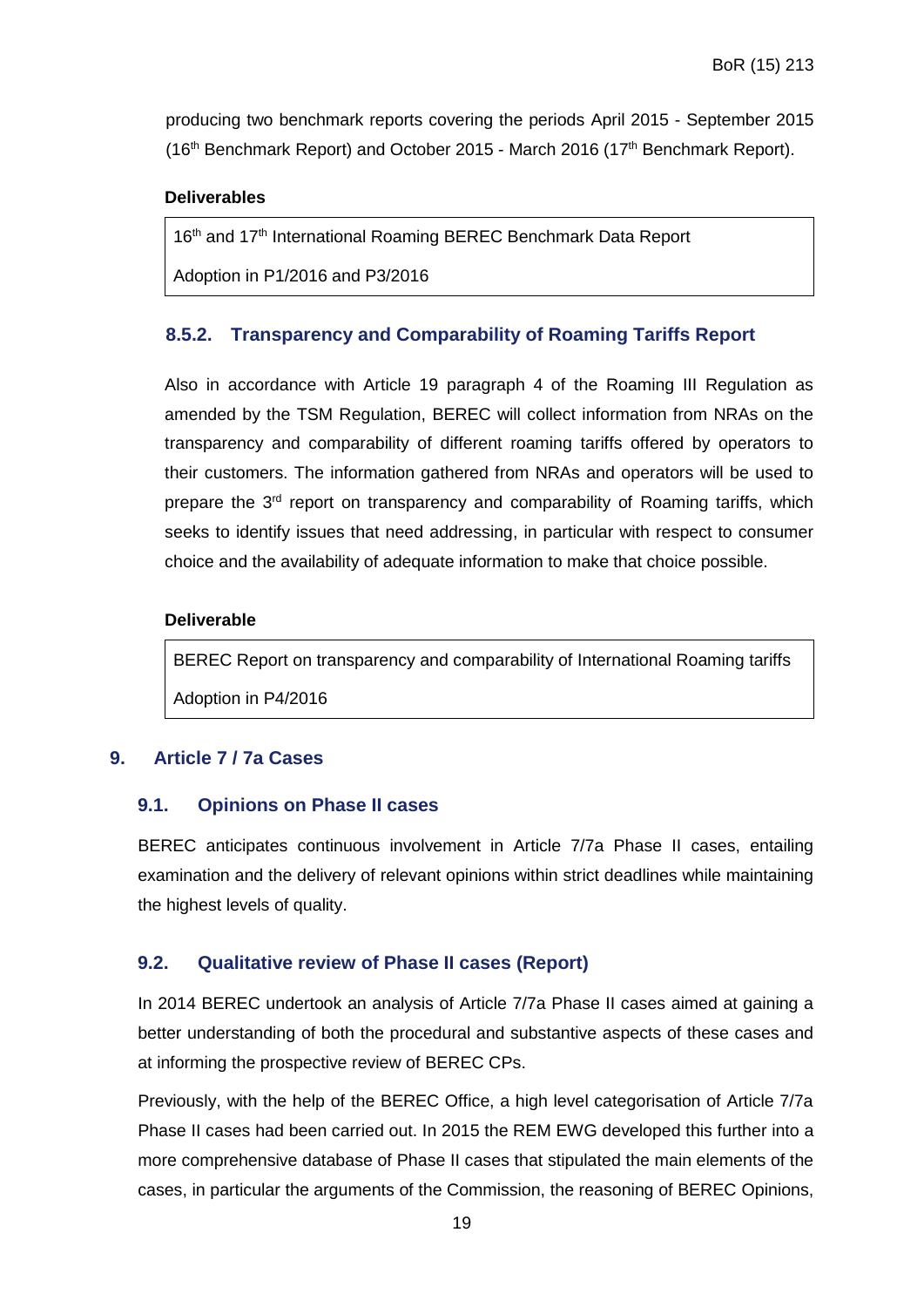producing two benchmark reports covering the periods April 2015 - September 2015 (16<sup>th</sup> Benchmark Report) and October 2015 - March 2016 (17<sup>th</sup> Benchmark Report).

#### **Deliverables**

16th and 17th International Roaming BEREC Benchmark Data Report

Adoption in P1/2016 and P3/2016

#### <span id="page-18-0"></span>**8.5.2. Transparency and Comparability of Roaming Tariffs Report**

Also in accordance with Article 19 paragraph 4 of the Roaming III Regulation as amended by the TSM Regulation, BEREC will collect information from NRAs on the transparency and comparability of different roaming tariffs offered by operators to their customers. The information gathered from NRAs and operators will be used to prepare the 3<sup>rd</sup> report on transparency and comparability of Roaming tariffs, which seeks to identify issues that need addressing, in particular with respect to consumer choice and the availability of adequate information to make that choice possible.

#### **Deliverable**

BEREC Report on transparency and comparability of International Roaming tariffs Adoption in P4/2016

#### <span id="page-18-2"></span><span id="page-18-1"></span>**9. Article 7 / 7a Cases**

#### **9.1. Opinions on Phase II cases**

BEREC anticipates continuous involvement in Article 7/7a Phase II cases, entailing examination and the delivery of relevant opinions within strict deadlines while maintaining the highest levels of quality.

#### <span id="page-18-3"></span>**9.2. Qualitative review of Phase II cases (Report)**

In 2014 BEREC undertook an analysis of Article 7/7a Phase II cases aimed at gaining a better understanding of both the procedural and substantive aspects of these cases and at informing the prospective review of BEREC CPs.

Previously, with the help of the BEREC Office, a high level categorisation of Article 7/7a Phase II cases had been carried out. In 2015 the REM EWG developed this further into a more comprehensive database of Phase II cases that stipulated the main elements of the cases, in particular the arguments of the Commission, the reasoning of BEREC Opinions,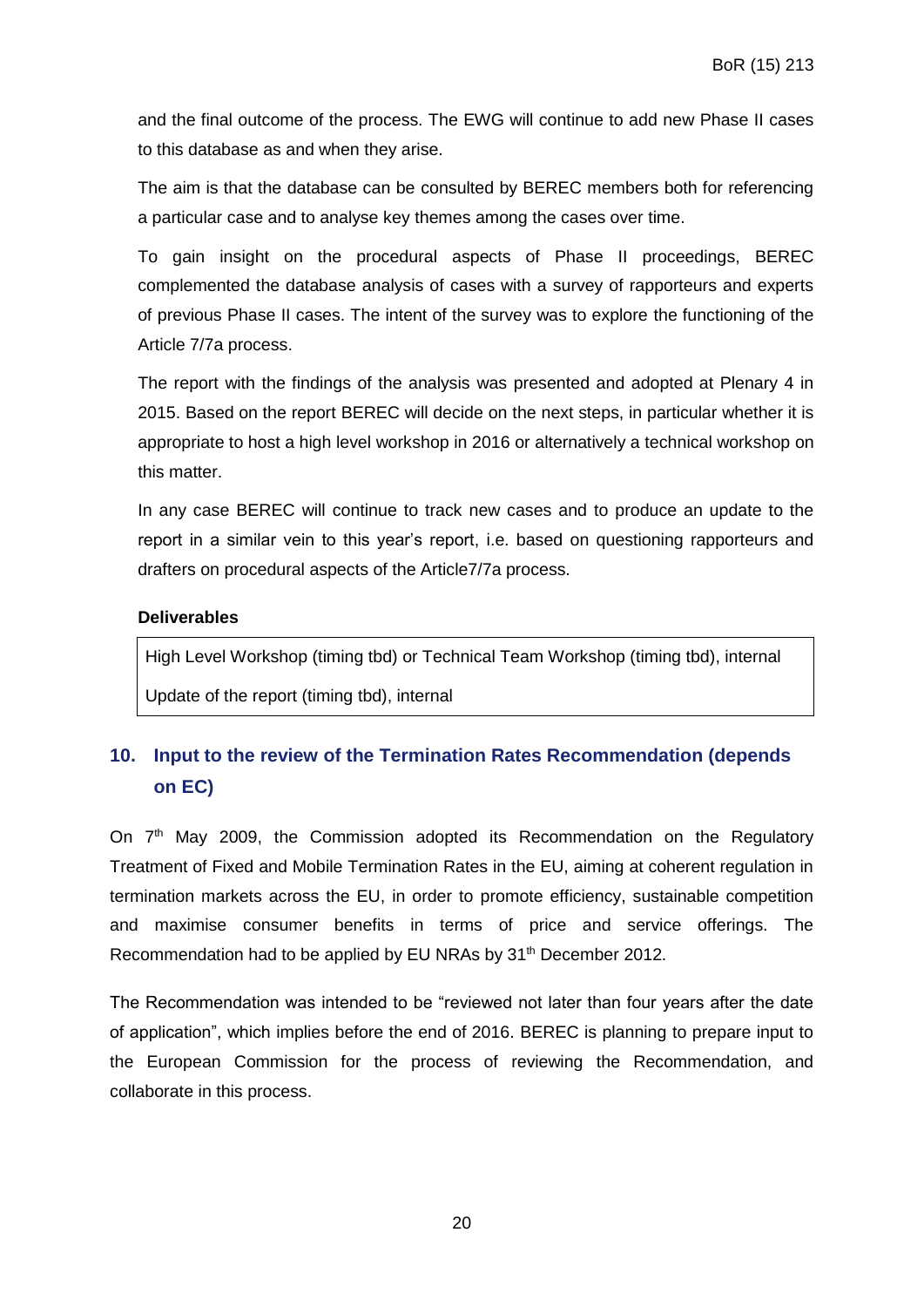and the final outcome of the process. The EWG will continue to add new Phase II cases to this database as and when they arise.

The aim is that the database can be consulted by BEREC members both for referencing a particular case and to analyse key themes among the cases over time.

To gain insight on the procedural aspects of Phase II proceedings, BEREC complemented the database analysis of cases with a survey of rapporteurs and experts of previous Phase II cases. The intent of the survey was to explore the functioning of the Article 7/7a process.

The report with the findings of the analysis was presented and adopted at Plenary 4 in 2015. Based on the report BEREC will decide on the next steps, in particular whether it is appropriate to host a high level workshop in 2016 or alternatively a technical workshop on this matter.

In any case BEREC will continue to track new cases and to produce an update to the report in a similar vein to this year's report, i.e. based on questioning rapporteurs and drafters on procedural aspects of the Article7/7a process.

#### **Deliverables**

High Level Workshop (timing tbd) or Technical Team Workshop (timing tbd), internal Update of the report (timing tbd), internal

# <span id="page-19-0"></span>**10. Input to the review of the Termination Rates Recommendation (depends on EC)**

On 7<sup>th</sup> May 2009, the Commission adopted its Recommendation on the Regulatory Treatment of Fixed and Mobile Termination Rates in the EU, aiming at coherent regulation in termination markets across the EU, in order to promote efficiency, sustainable competition and maximise consumer benefits in terms of price and service offerings. The Recommendation had to be applied by EU NRAs by 31<sup>th</sup> December 2012.

The Recommendation was intended to be "reviewed not later than four years after the date of application", which implies before the end of 2016. BEREC is planning to prepare input to the European Commission for the process of reviewing the Recommendation, and collaborate in this process.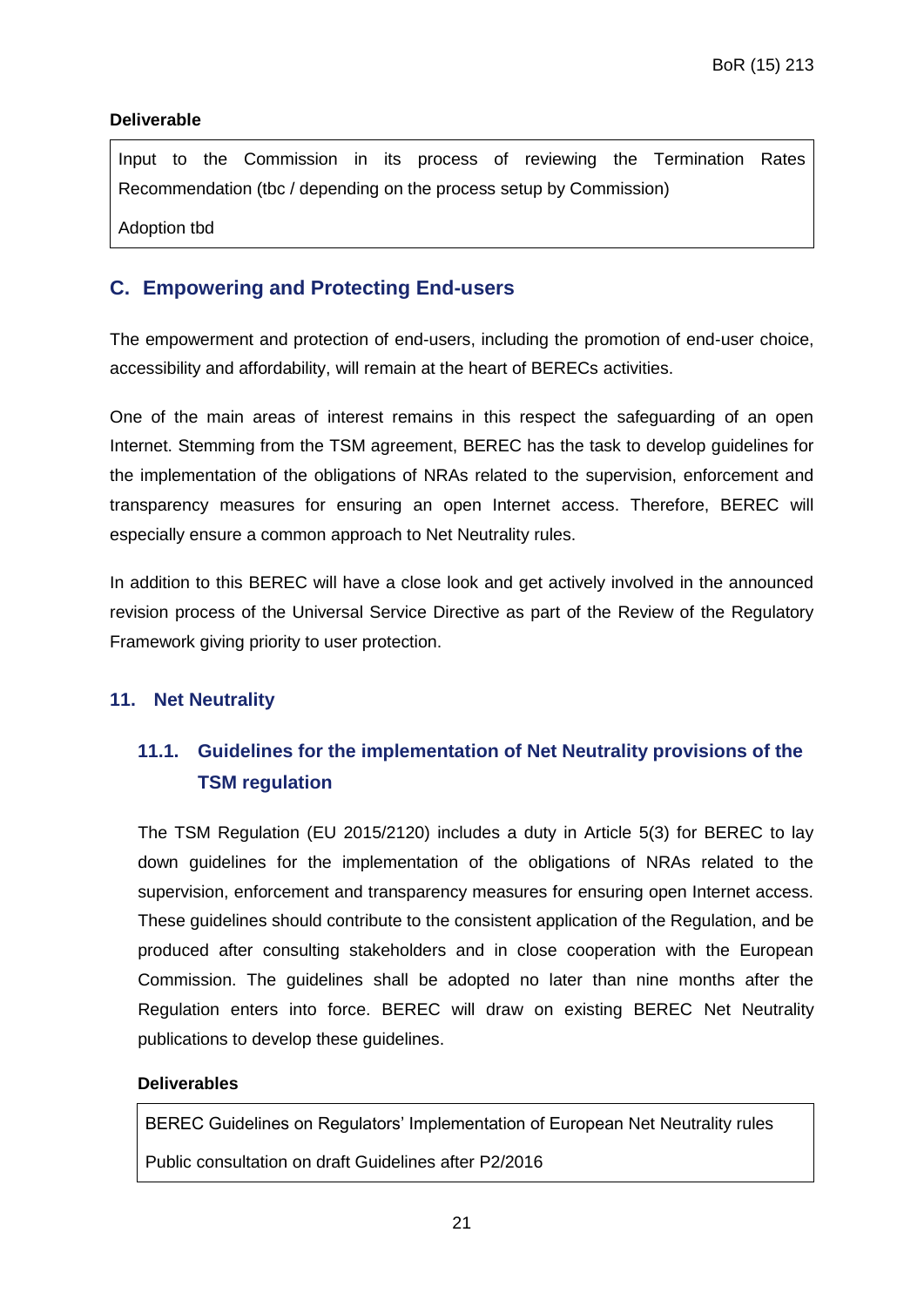#### **Deliverable**

Input to the Commission in its process of reviewing the Termination Rates Recommendation (tbc / depending on the process setup by Commission)

Adoption tbd

## <span id="page-20-0"></span>**C. Empowering and Protecting End-users**

The empowerment and protection of end-users, including the promotion of end-user choice, accessibility and affordability, will remain at the heart of BERECs activities.

One of the main areas of interest remains in this respect the safeguarding of an open Internet. Stemming from the TSM agreement, BEREC has the task to develop guidelines for the implementation of the obligations of NRAs related to the supervision, enforcement and transparency measures for ensuring an open Internet access. Therefore, BEREC will especially ensure a common approach to Net Neutrality rules.

In addition to this BEREC will have a close look and get actively involved in the announced revision process of the Universal Service Directive as part of the Review of the Regulatory Framework giving priority to user protection.

#### <span id="page-20-2"></span><span id="page-20-1"></span>**11. Net Neutrality**

# **11.1. Guidelines for the implementation of Net Neutrality provisions of the TSM regulation**

The TSM Regulation (EU 2015/2120) includes a duty in Article 5(3) for BEREC to lay down guidelines for the implementation of the obligations of NRAs related to the supervision, enforcement and transparency measures for ensuring open Internet access. These guidelines should contribute to the consistent application of the Regulation, and be produced after consulting stakeholders and in close cooperation with the European Commission. The guidelines shall be adopted no later than nine months after the Regulation enters into force. BEREC will draw on existing BEREC Net Neutrality publications to develop these guidelines.

#### **Deliverables**

BEREC Guidelines on Regulators' Implementation of European Net Neutrality rules

Public consultation on draft Guidelines after P2/2016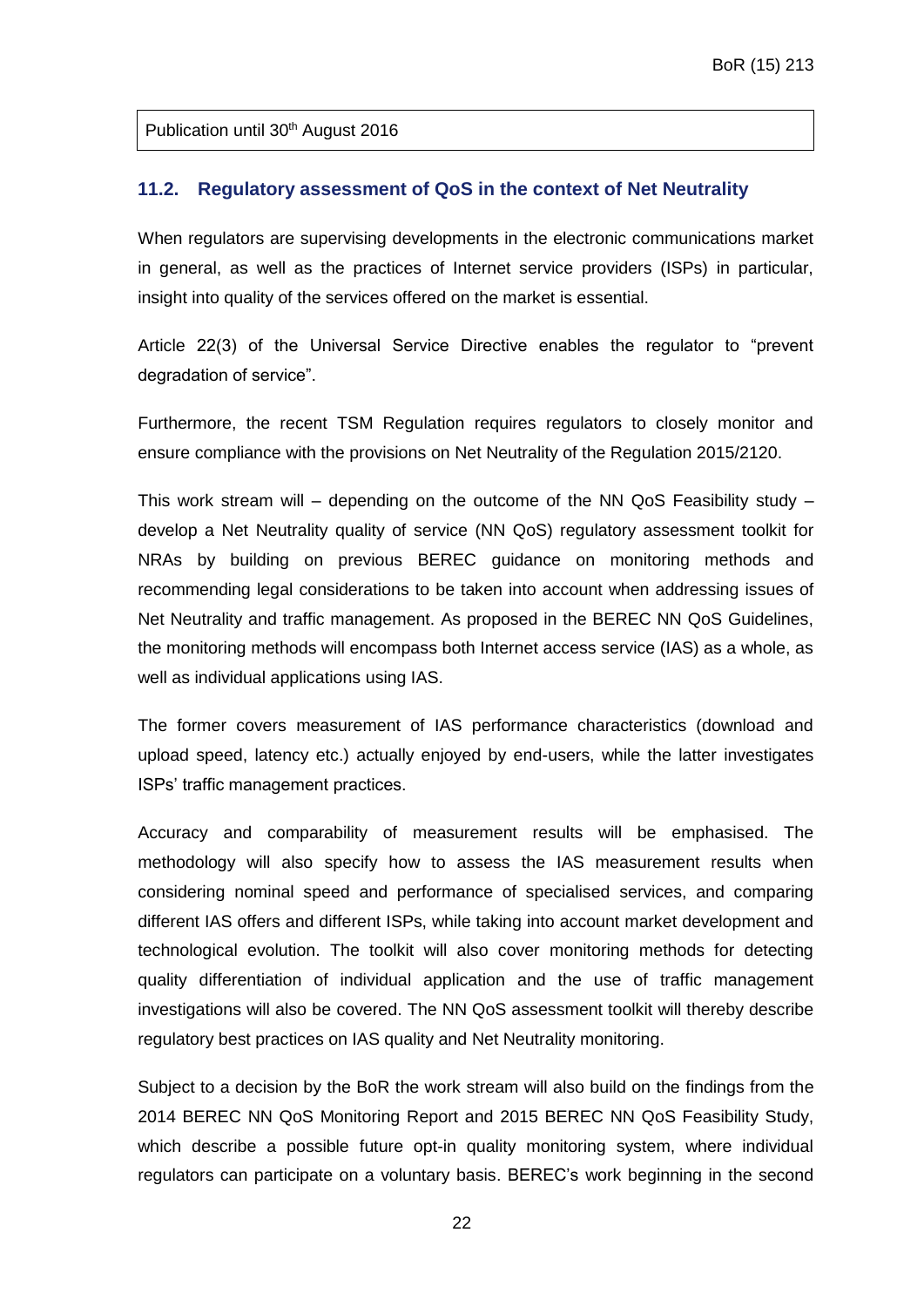Publication until 30<sup>th</sup> August 2016

#### <span id="page-21-0"></span>**11.2. Regulatory assessment of QoS in the context of Net Neutrality**

When regulators are supervising developments in the electronic communications market in general, as well as the practices of Internet service providers (ISPs) in particular, insight into quality of the services offered on the market is essential.

Article 22(3) of the Universal Service Directive enables the regulator to "prevent degradation of service".

Furthermore, the recent TSM Regulation requires regulators to closely monitor and ensure compliance with the provisions on Net Neutrality of the Regulation 2015/2120.

This work stream will – depending on the outcome of the NN QoS Feasibility study – develop a Net Neutrality quality of service (NN QoS) regulatory assessment toolkit for NRAs by building on previous BEREC guidance on monitoring methods and recommending legal considerations to be taken into account when addressing issues of Net Neutrality and traffic management. As proposed in the BEREC NN QoS Guidelines, the monitoring methods will encompass both Internet access service (IAS) as a whole, as well as individual applications using IAS.

The former covers measurement of IAS performance characteristics (download and upload speed, latency etc.) actually enjoyed by end-users, while the latter investigates ISPs' traffic management practices.

Accuracy and comparability of measurement results will be emphasised. The methodology will also specify how to assess the IAS measurement results when considering nominal speed and performance of specialised services, and comparing different IAS offers and different ISPs, while taking into account market development and technological evolution. The toolkit will also cover monitoring methods for detecting quality differentiation of individual application and the use of traffic management investigations will also be covered. The NN QoS assessment toolkit will thereby describe regulatory best practices on IAS quality and Net Neutrality monitoring.

Subject to a decision by the BoR the work stream will also build on the findings from the 2014 BEREC NN QoS Monitoring Report and 2015 BEREC NN QoS Feasibility Study, which describe a possible future opt-in quality monitoring system, where individual regulators can participate on a voluntary basis. BEREC's work beginning in the second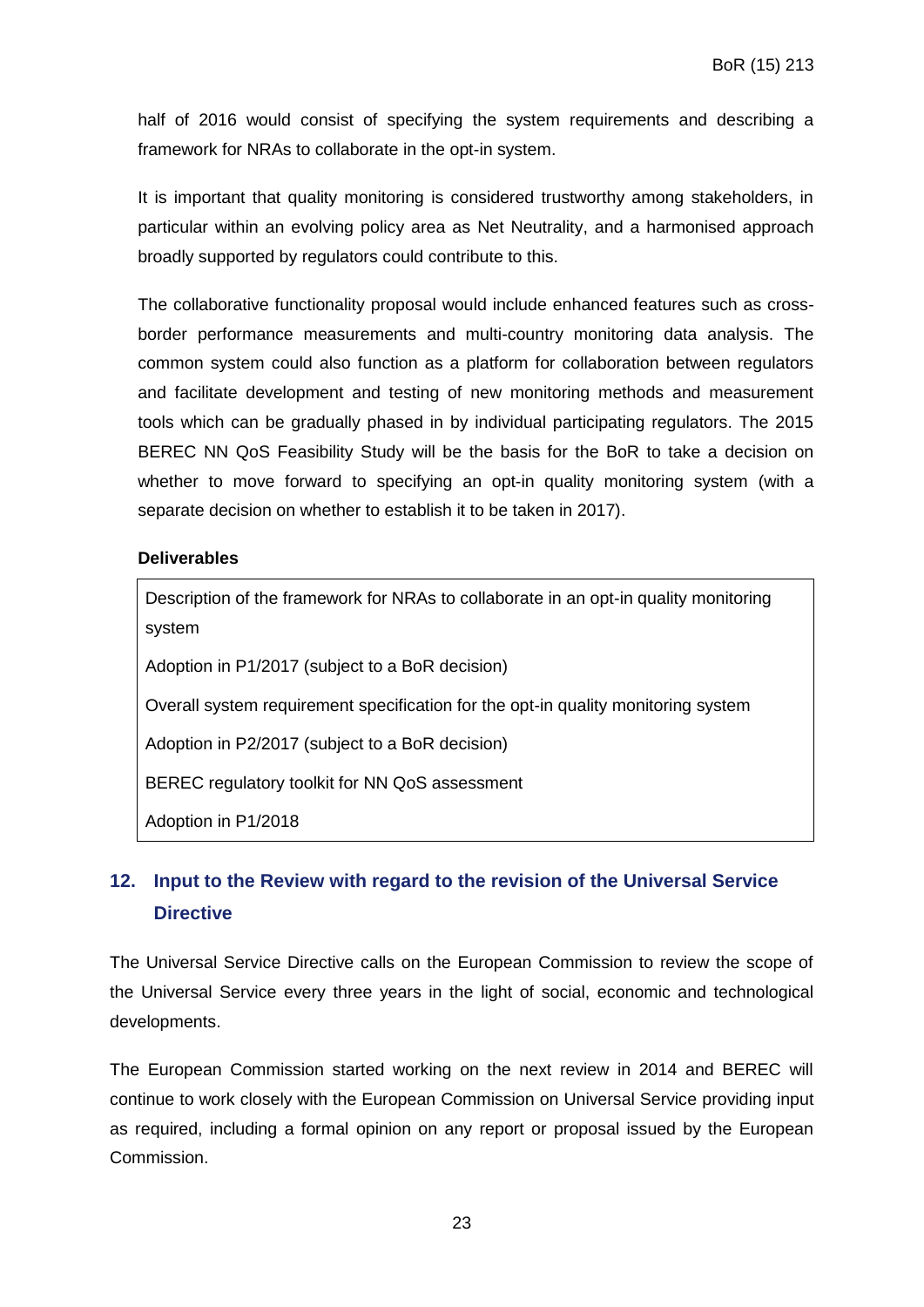half of 2016 would consist of specifying the system requirements and describing a framework for NRAs to collaborate in the opt-in system.

It is important that quality monitoring is considered trustworthy among stakeholders, in particular within an evolving policy area as Net Neutrality, and a harmonised approach broadly supported by regulators could contribute to this.

The collaborative functionality proposal would include enhanced features such as crossborder performance measurements and multi-country monitoring data analysis. The common system could also function as a platform for collaboration between regulators and facilitate development and testing of new monitoring methods and measurement tools which can be gradually phased in by individual participating regulators. The 2015 BEREC NN QoS Feasibility Study will be the basis for the BoR to take a decision on whether to move forward to specifying an opt-in quality monitoring system (with a separate decision on whether to establish it to be taken in 2017).

#### **Deliverables**

Description of the framework for NRAs to collaborate in an opt-in quality monitoring system

Adoption in P1/2017 (subject to a BoR decision)

Overall system requirement specification for the opt-in quality monitoring system

Adoption in P2/2017 (subject to a BoR decision)

BEREC regulatory toolkit for NN QoS assessment

Adoption in P1/2018

# <span id="page-22-0"></span>**12. Input to the Review with regard to the revision of the Universal Service Directive**

The Universal Service Directive calls on the European Commission to review the scope of the Universal Service every three years in the light of social, economic and technological developments.

The European Commission started working on the next review in 2014 and BEREC will continue to work closely with the European Commission on Universal Service providing input as required, including a formal opinion on any report or proposal issued by the European Commission.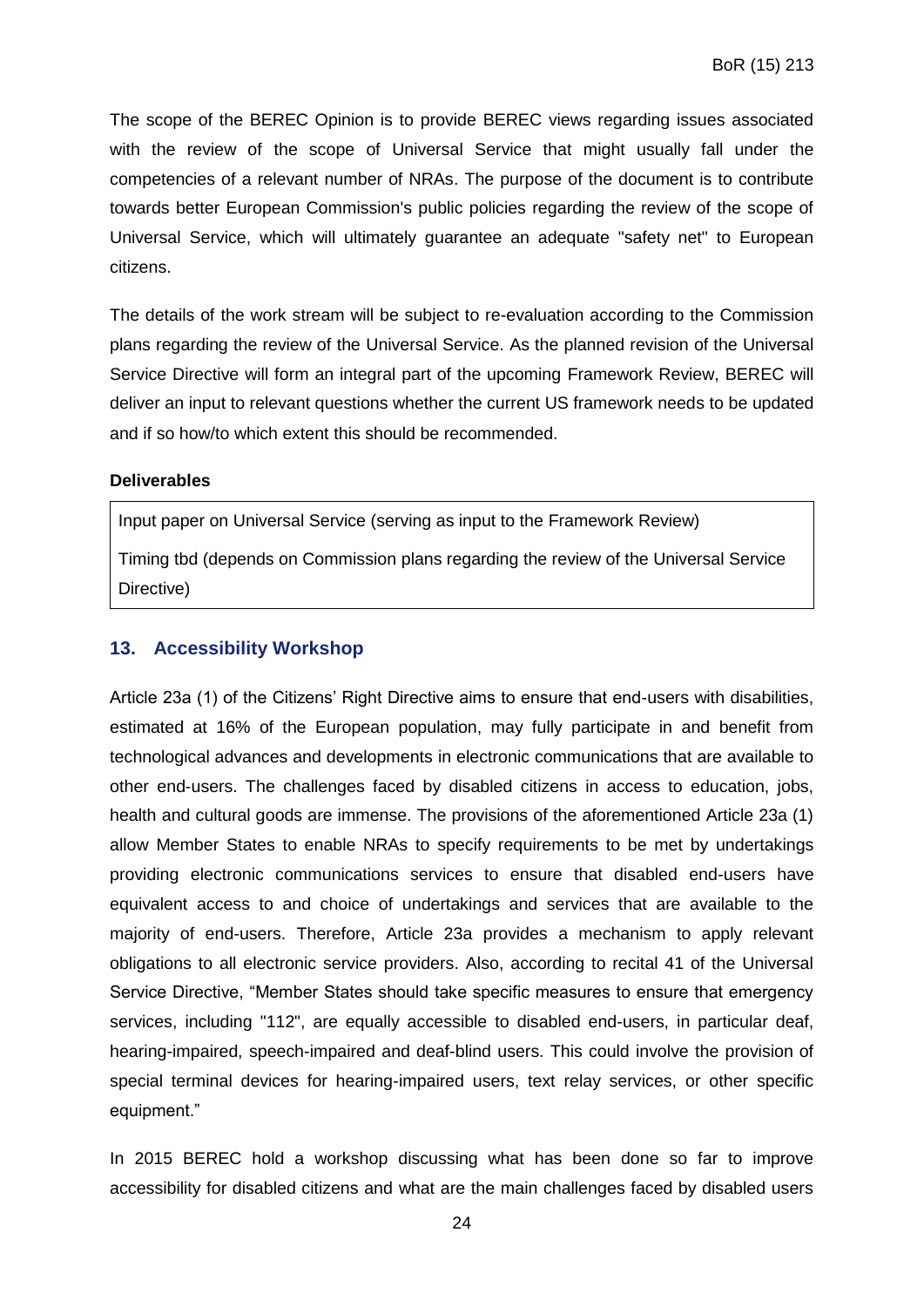The scope of the BEREC Opinion is to provide BEREC views regarding issues associated with the review of the scope of Universal Service that might usually fall under the competencies of a relevant number of NRAs. The purpose of the document is to contribute towards better European Commission's public policies regarding the review of the scope of Universal Service, which will ultimately guarantee an adequate "safety net" to European citizens.

The details of the work stream will be subject to re-evaluation according to the Commission plans regarding the review of the Universal Service. As the planned revision of the Universal Service Directive will form an integral part of the upcoming Framework Review, BEREC will deliver an input to relevant questions whether the current US framework needs to be updated and if so how/to which extent this should be recommended.

#### **Deliverables**

Input paper on Universal Service (serving as input to the Framework Review)

Timing tbd (depends on Commission plans regarding the review of the Universal Service Directive)

#### <span id="page-23-0"></span>**13. Accessibility Workshop**

Article 23a (1) of the Citizens' Right Directive aims to ensure that end-users with disabilities, estimated at 16% of the European population, may fully participate in and benefit from technological advances and developments in electronic communications that are available to other end-users. The challenges faced by disabled citizens in access to education, jobs, health and cultural goods are immense. The provisions of the aforementioned Article 23a (1) allow Member States to enable NRAs to specify requirements to be met by undertakings providing electronic communications services to ensure that disabled end-users have equivalent access to and choice of undertakings and services that are available to the majority of end-users. Therefore, Article 23a provides a mechanism to apply relevant obligations to all electronic service providers. Also, according to recital 41 of the Universal Service Directive, "Member States should take specific measures to ensure that emergency services, including "112", are equally accessible to disabled end-users, in particular deaf, hearing-impaired, speech-impaired and deaf-blind users. This could involve the provision of special terminal devices for hearing-impaired users, text relay services, or other specific equipment."

In 2015 BEREC hold a workshop discussing what has been done so far to improve accessibility for disabled citizens and what are the main challenges faced by disabled users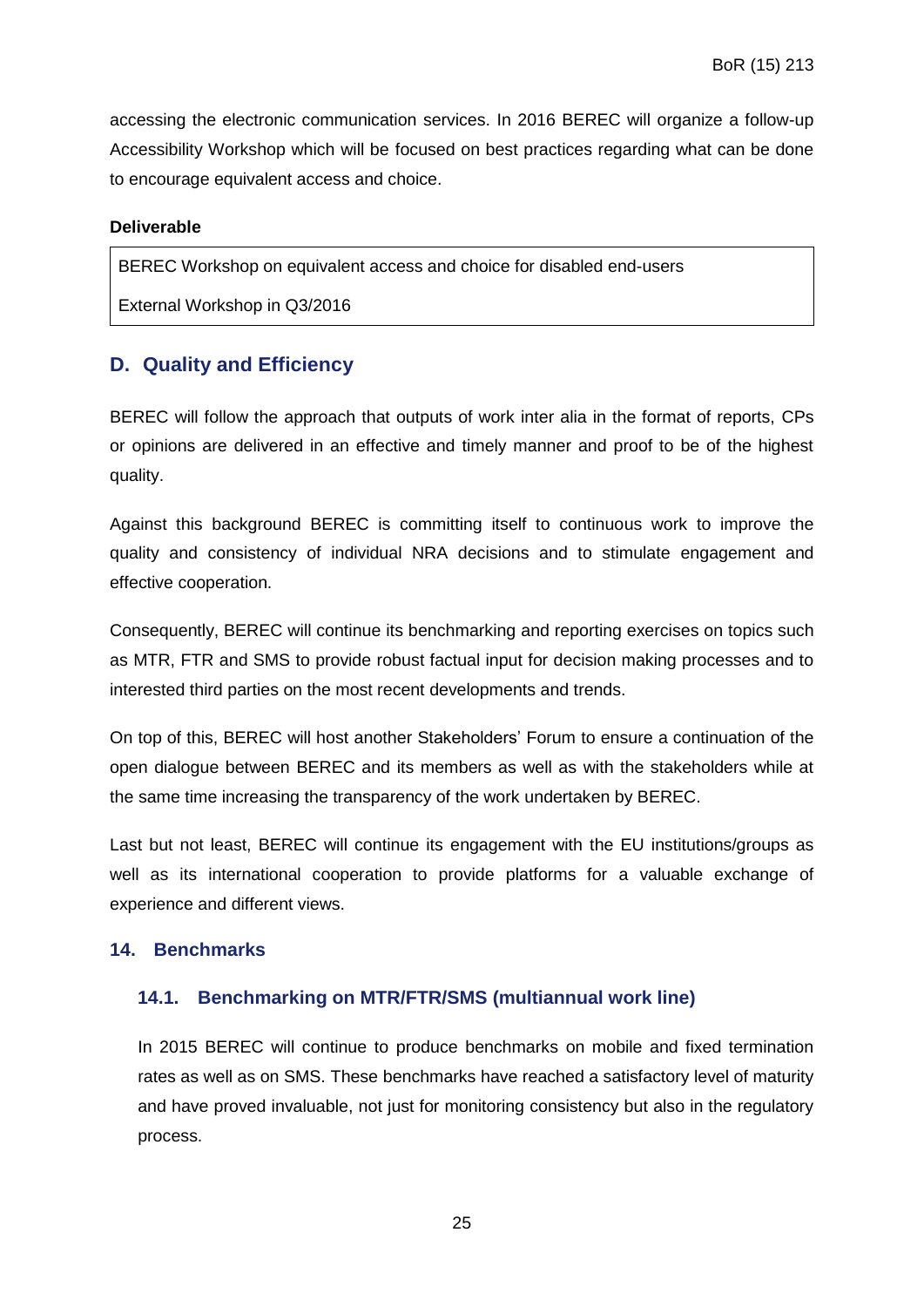accessing the electronic communication services. In 2016 BEREC will organize a follow-up Accessibility Workshop which will be focused on best practices regarding what can be done to encourage equivalent access and choice.

#### **Deliverable**

BEREC Workshop on equivalent access and choice for disabled end-users

External Workshop in Q3/2016

## <span id="page-24-0"></span>**D. Quality and Efficiency**

BEREC will follow the approach that outputs of work inter alia in the format of reports, CPs or opinions are delivered in an effective and timely manner and proof to be of the highest quality.

Against this background BEREC is committing itself to continuous work to improve the quality and consistency of individual NRA decisions and to stimulate engagement and effective cooperation.

Consequently, BEREC will continue its benchmarking and reporting exercises on topics such as MTR, FTR and SMS to provide robust factual input for decision making processes and to interested third parties on the most recent developments and trends.

On top of this, BEREC will host another Stakeholders' Forum to ensure a continuation of the open dialogue between BEREC and its members as well as with the stakeholders while at the same time increasing the transparency of the work undertaken by BEREC.

Last but not least, BEREC will continue its engagement with the EU institutions/groups as well as its international cooperation to provide platforms for a valuable exchange of experience and different views.

#### <span id="page-24-2"></span><span id="page-24-1"></span>**14. Benchmarks**

## **14.1. Benchmarking on MTR/FTR/SMS (multiannual work line)**

In 2015 BEREC will continue to produce benchmarks on mobile and fixed termination rates as well as on SMS. These benchmarks have reached a satisfactory level of maturity and have proved invaluable, not just for monitoring consistency but also in the regulatory process.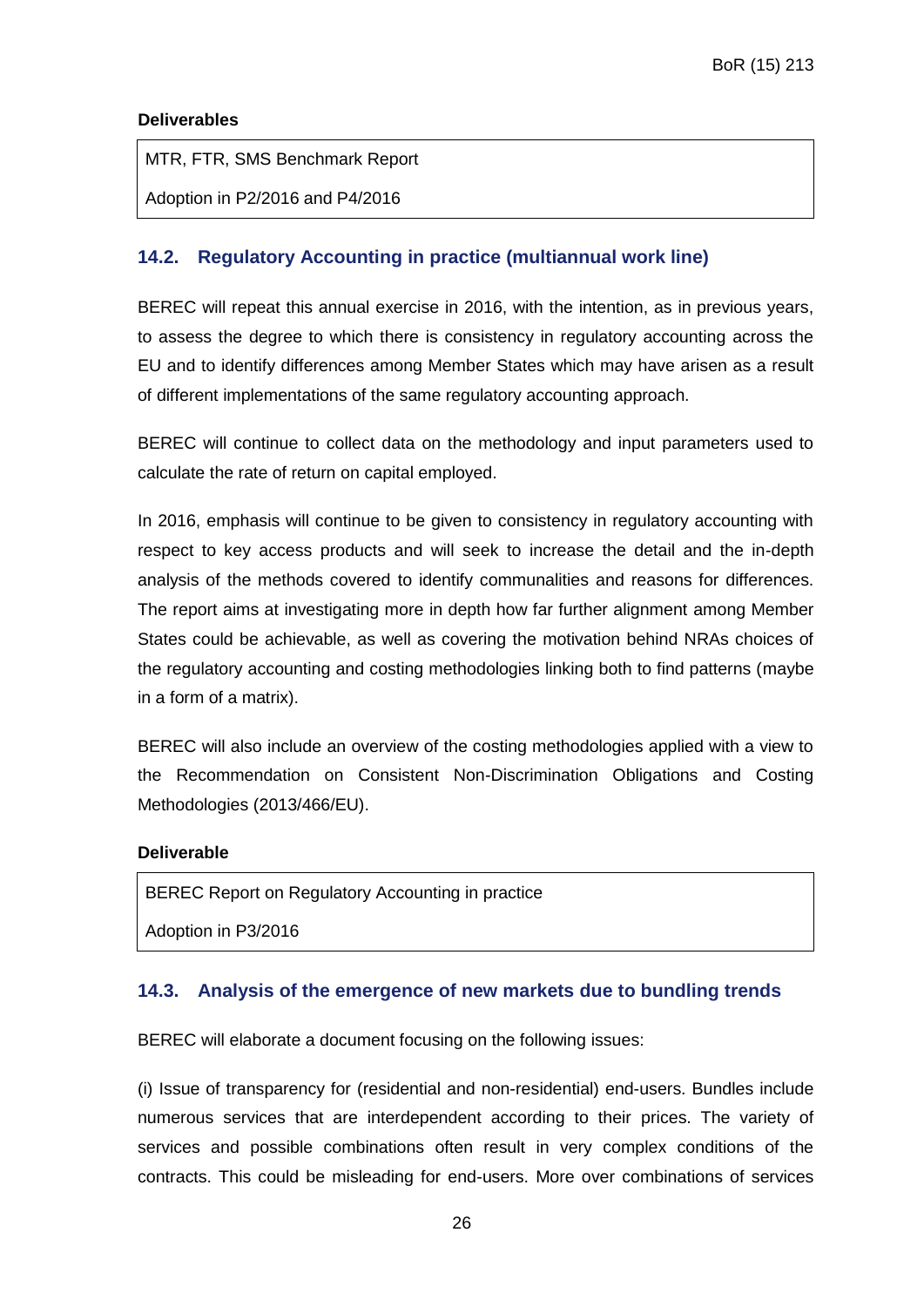#### **Deliverables**

MTR, FTR, SMS Benchmark Report

Adoption in P2/2016 and P4/2016

#### <span id="page-25-0"></span>**14.2. Regulatory Accounting in practice (multiannual work line)**

BEREC will repeat this annual exercise in 2016, with the intention, as in previous years, to assess the degree to which there is consistency in regulatory accounting across the EU and to identify differences among Member States which may have arisen as a result of different implementations of the same regulatory accounting approach.

BEREC will continue to collect data on the methodology and input parameters used to calculate the rate of return on capital employed.

In 2016, emphasis will continue to be given to consistency in regulatory accounting with respect to key access products and will seek to increase the detail and the in-depth analysis of the methods covered to identify communalities and reasons for differences. The report aims at investigating more in depth how far further alignment among Member States could be achievable, as well as covering the motivation behind NRAs choices of the regulatory accounting and costing methodologies linking both to find patterns (maybe in a form of a matrix).

BEREC will also include an overview of the costing methodologies applied with a view to the Recommendation on Consistent Non-Discrimination Obligations and Costing Methodologies (2013/466/EU).

#### **Deliverable**

BEREC Report on Regulatory Accounting in practice

Adoption in P3/2016

#### <span id="page-25-1"></span>**14.3. Analysis of the emergence of new markets due to bundling trends**

BEREC will elaborate a document focusing on the following issues:

(i) Issue of transparency for (residential and non-residential) end-users. Bundles include numerous services that are interdependent according to their prices. The variety of services and possible combinations often result in very complex conditions of the contracts. This could be misleading for end-users. More over combinations of services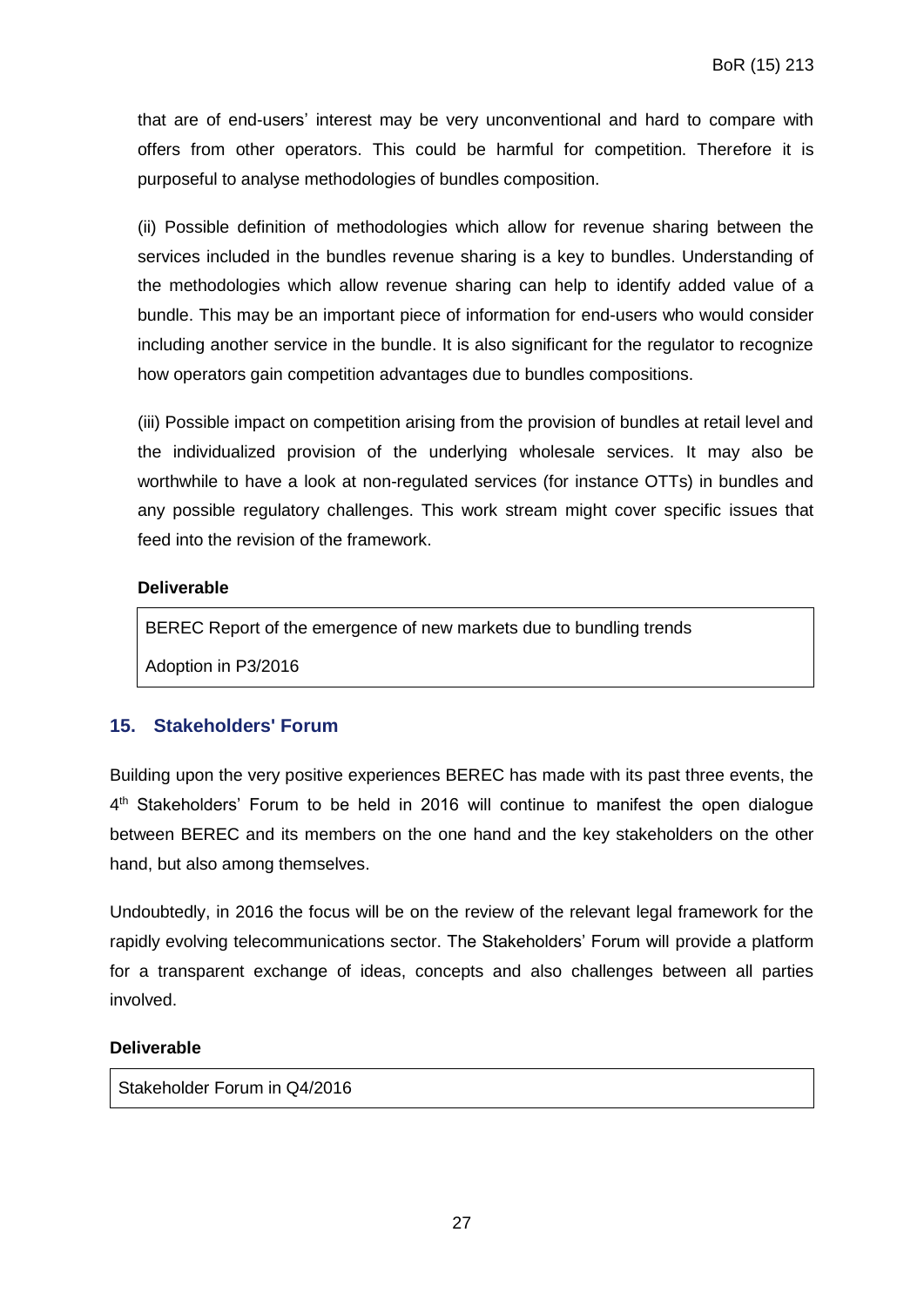that are of end-users' interest may be very unconventional and hard to compare with offers from other operators. This could be harmful for competition. Therefore it is purposeful to analyse methodologies of bundles composition.

(ii) Possible definition of methodologies which allow for revenue sharing between the services included in the bundles revenue sharing is a key to bundles. Understanding of the methodologies which allow revenue sharing can help to identify added value of a bundle. This may be an important piece of information for end-users who would consider including another service in the bundle. It is also significant for the regulator to recognize how operators gain competition advantages due to bundles compositions.

(iii) Possible impact on competition arising from the provision of bundles at retail level and the individualized provision of the underlying wholesale services. It may also be worthwhile to have a look at non-regulated services (for instance OTTs) in bundles and any possible regulatory challenges. This work stream might cover specific issues that feed into the revision of the framework.

#### **Deliverable**

BEREC Report of the emergence of new markets due to bundling trends

Adoption in P3/2016

## <span id="page-26-0"></span>**15. Stakeholders' Forum**

Building upon the very positive experiences BEREC has made with its past three events, the 4<sup>th</sup> Stakeholders' Forum to be held in 2016 will continue to manifest the open dialogue between BEREC and its members on the one hand and the key stakeholders on the other hand, but also among themselves.

Undoubtedly, in 2016 the focus will be on the review of the relevant legal framework for the rapidly evolving telecommunications sector. The Stakeholders' Forum will provide a platform for a transparent exchange of ideas, concepts and also challenges between all parties involved.

#### **Deliverable**

Stakeholder Forum in Q4/2016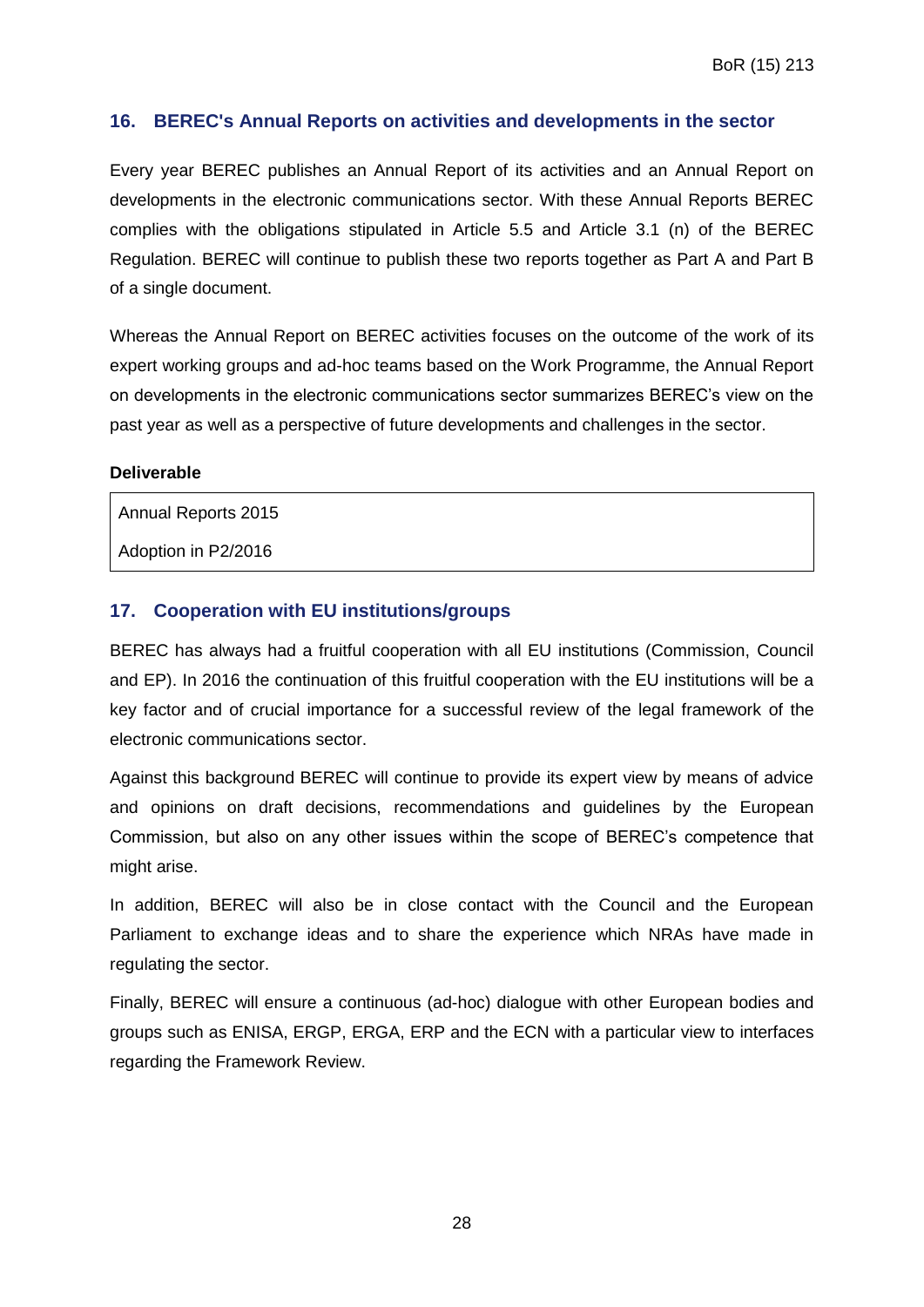#### <span id="page-27-0"></span>**16. BEREC's Annual Reports on activities and developments in the sector**

Every year BEREC publishes an Annual Report of its activities and an Annual Report on developments in the electronic communications sector. With these Annual Reports BEREC complies with the obligations stipulated in Article 5.5 and Article 3.1 (n) of the BEREC Regulation. BEREC will continue to publish these two reports together as Part A and Part B of a single document.

Whereas the Annual Report on BEREC activities focuses on the outcome of the work of its expert working groups and ad-hoc teams based on the Work Programme, the Annual Report on developments in the electronic communications sector summarizes BEREC's view on the past year as well as a perspective of future developments and challenges in the sector.

#### **Deliverable**

Annual Reports 2015

Adoption in P2/2016

#### <span id="page-27-1"></span>**17. Cooperation with EU institutions/groups**

BEREC has always had a fruitful cooperation with all EU institutions (Commission, Council and EP). In 2016 the continuation of this fruitful cooperation with the EU institutions will be a key factor and of crucial importance for a successful review of the legal framework of the electronic communications sector.

Against this background BEREC will continue to provide its expert view by means of advice and opinions on draft decisions, recommendations and guidelines by the European Commission, but also on any other issues within the scope of BEREC's competence that might arise.

In addition, BEREC will also be in close contact with the Council and the European Parliament to exchange ideas and to share the experience which NRAs have made in regulating the sector.

Finally, BEREC will ensure a continuous (ad-hoc) dialogue with other European bodies and groups such as ENISA, ERGP, ERGA, ERP and the ECN with a particular view to interfaces regarding the Framework Review.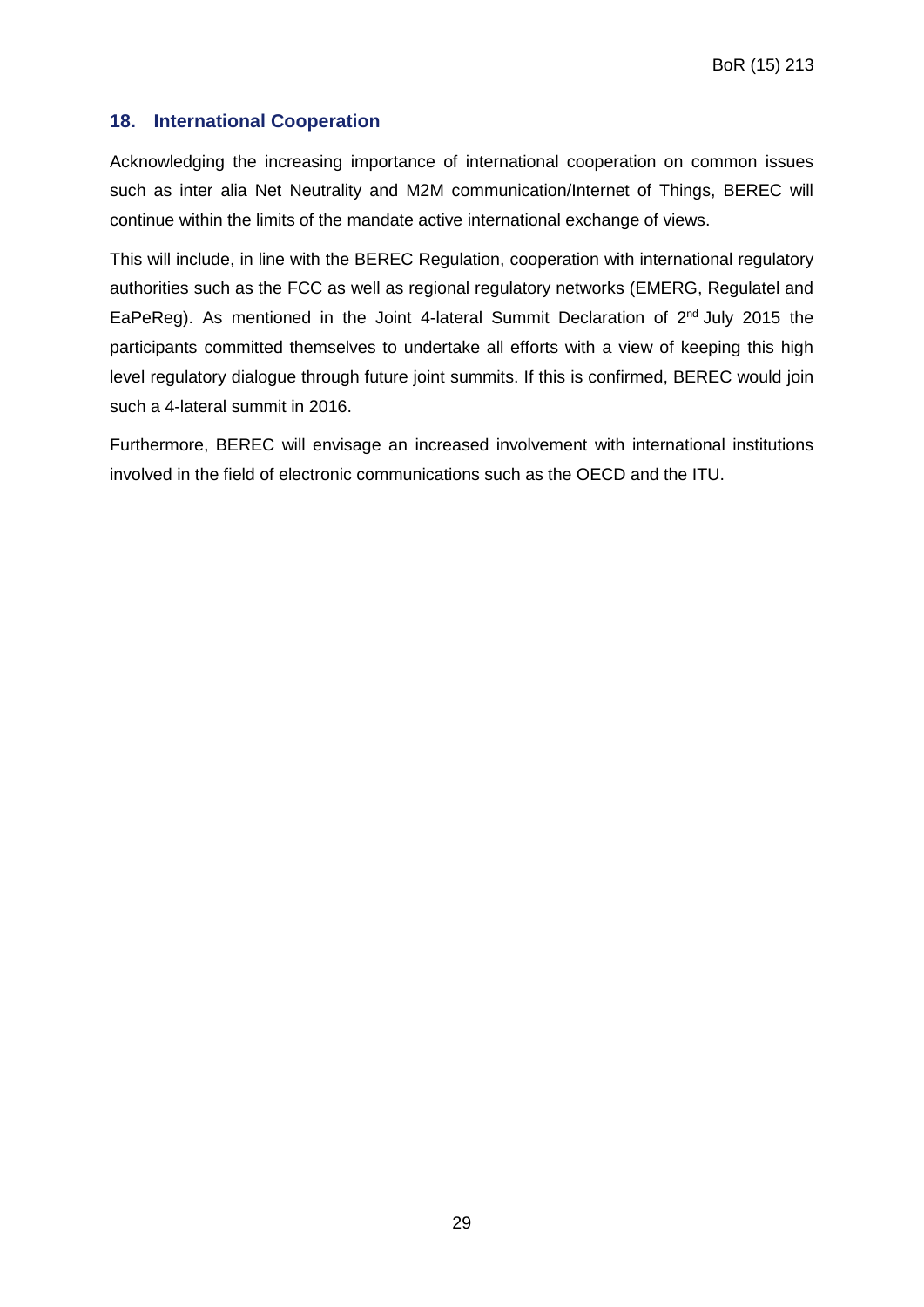#### <span id="page-28-0"></span>**18. International Cooperation**

Acknowledging the increasing importance of international cooperation on common issues such as inter alia Net Neutrality and M2M communication/Internet of Things, BEREC will continue within the limits of the mandate active international exchange of views.

This will include, in line with the BEREC Regulation, cooperation with international regulatory authorities such as the FCC as well as regional regulatory networks (EMERG, Regulatel and EaPeReg). As mentioned in the Joint 4-lateral Summit Declaration of  $2^{nd}$  July 2015 the participants committed themselves to undertake all efforts with a view of keeping this high level regulatory dialogue through future joint summits. If this is confirmed, BEREC would join such a 4-lateral summit in 2016.

Furthermore, BEREC will envisage an increased involvement with international institutions involved in the field of electronic communications such as the OECD and the ITU.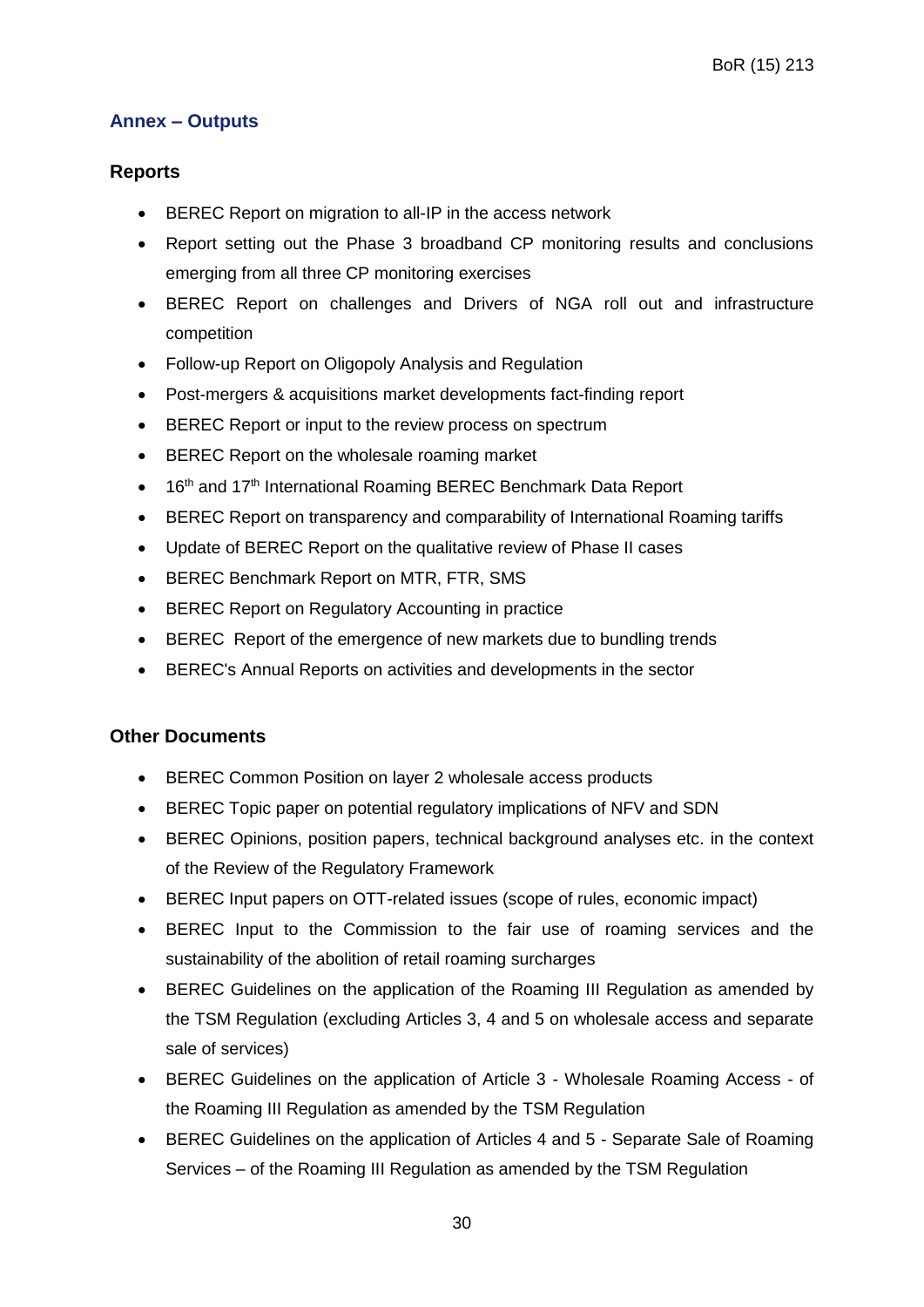#### <span id="page-29-0"></span>**Annex – Outputs**

#### **Reports**

- BEREC Report on migration to all-IP in the access network
- Report setting out the Phase 3 broadband CP monitoring results and conclusions emerging from all three CP monitoring exercises
- BEREC Report on challenges and Drivers of NGA roll out and infrastructure competition
- Follow-up Report on Oligopoly Analysis and Regulation
- Post-mergers & acquisitions market developments fact-finding report
- **BEREC Report or input to the review process on spectrum**
- BEREC Report on the wholesale roaming market
- 16<sup>th</sup> and 17<sup>th</sup> International Roaming BEREC Benchmark Data Report
- BEREC Report on transparency and comparability of International Roaming tariffs
- Update of BEREC Report on the qualitative review of Phase II cases
- BEREC Benchmark Report on MTR, FTR, SMS
- BEREC Report on Regulatory Accounting in practice
- BEREC Report of the emergence of new markets due to bundling trends
- BEREC's Annual Reports on activities and developments in the sector

#### **Other Documents**

- BEREC Common Position on layer 2 wholesale access products
- BEREC Topic paper on potential regulatory implications of NFV and SDN
- BEREC Opinions, position papers, technical background analyses etc. in the context of the Review of the Regulatory Framework
- BEREC Input papers on OTT-related issues (scope of rules, economic impact)
- BEREC Input to the Commission to the fair use of roaming services and the sustainability of the abolition of retail roaming surcharges
- BEREC Guidelines on the application of the Roaming III Regulation as amended by the TSM Regulation (excluding Articles 3, 4 and 5 on wholesale access and separate sale of services)
- BEREC Guidelines on the application of Article 3 Wholesale Roaming Access of the Roaming III Regulation as amended by the TSM Regulation
- BEREC Guidelines on the application of Articles 4 and 5 Separate Sale of Roaming Services – of the Roaming III Regulation as amended by the TSM Regulation